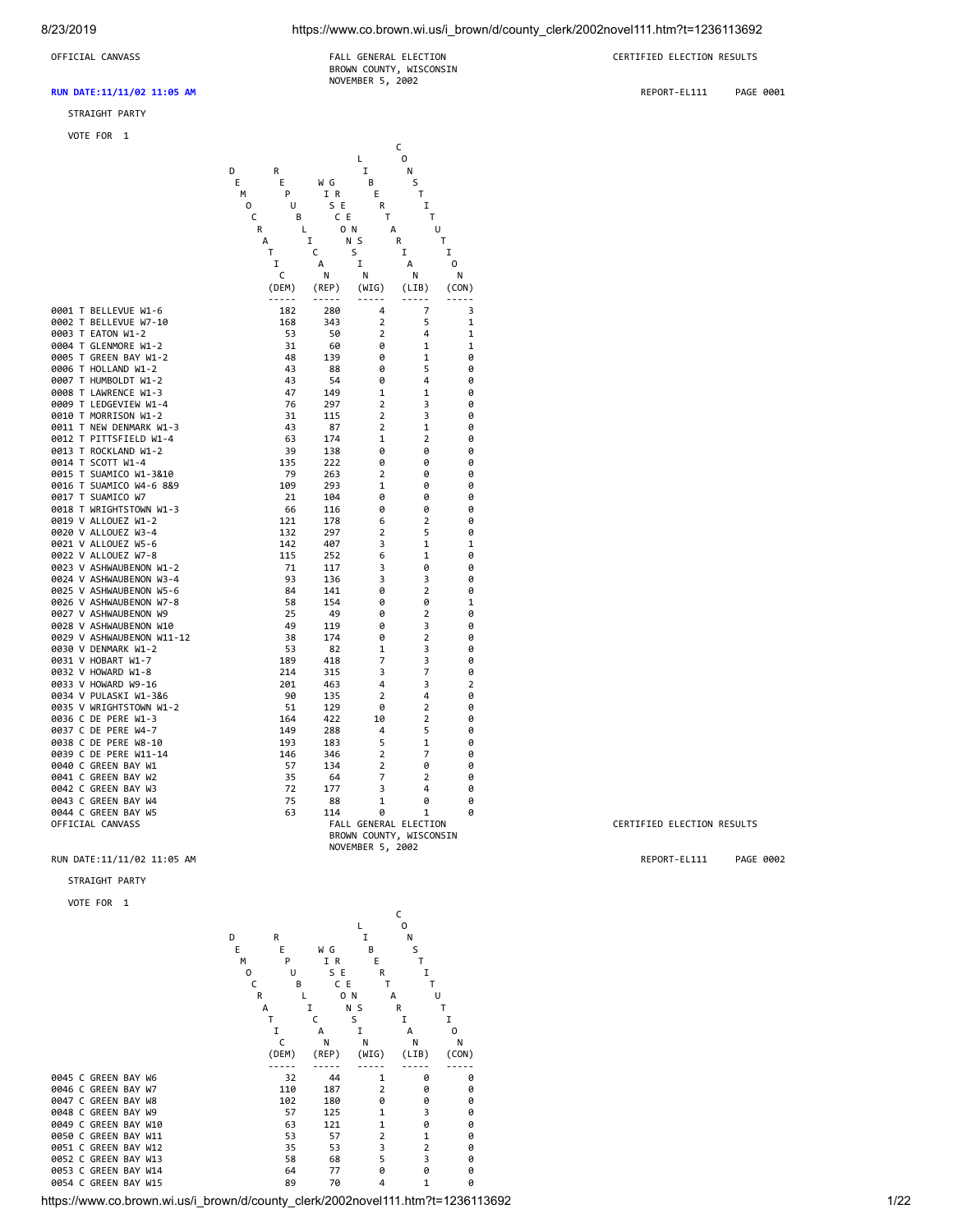8/23/2019 https://www.co.brown.wi.us/i\_brown/d/county\_clerk/2002novel111.htm?t=1236113692

#### **RUN DATE:11/11/02 11:05 AM** REPORT-EL111 PAGE 0001

#### STRAIGHT PARTY

VOTE FOR 1

OFFICIAL CANVASS FALL GENERAL ELECTION CERTIFIED ELECTION RESULTS BROWN COUNTY, WISCONSIN NOVEMBER 5, 2002

|                                                    |   |                |                |                     | с                       |                |
|----------------------------------------------------|---|----------------|----------------|---------------------|-------------------------|----------------|
|                                                    | D | R              |                | L<br>I              | 0<br>N                  |                |
|                                                    | E | Ε              | W G            | B                   | S                       |                |
|                                                    | м | P              | I R            | Ε                   | Τ                       |                |
|                                                    | 0 | U              | S E            | R                   | I                       |                |
|                                                    | C | в              | C E            | T                   | T                       |                |
|                                                    | R | Г              | O N            | А                   | U                       |                |
|                                                    | А |                | I              | N S                 | Т<br>R                  |                |
|                                                    |   | т              | С              | S                   | I                       | I              |
|                                                    |   | I              | А              | I                   | А                       | 0              |
|                                                    |   | c              | Ν              | Ν                   | N                       | Ν              |
|                                                    |   | (DEM)<br>----- | (REP)<br>----- | (WIG)<br>-----      | (LIB)<br>-----          | (CON)          |
| 0001 T BELLEVUE W1-6                               |   | 182            | 280            | 4                   | 7                       | 3              |
| 0002 T BELLEVUE W7-10                              |   | 168            | 343            | 2                   | 5                       | 1              |
| 0003 T EATON W1-2                                  |   | 53             | 50             | $\overline{2}$      | 4                       | $\mathbf{1}$   |
| 0004 T GLENMORE W1-2                               |   | 31             | 60             | 0                   | 1                       | 1              |
| 0005 T GREEN BAY W1-2                              |   | 48             | 139            | 0                   | 1                       | 0              |
| 0006 T HOLLAND W1-2                                |   | 43             | 88             | 0                   | 5                       | 0              |
| 0007 T HUMBOLDT W1-2                               |   | 43             | 54             | 0                   | 4                       | 0              |
| 0008 T LAWRENCE W1-3                               |   | 47             | 149            | $\mathbf 1$         | 1                       | 0              |
| 0009 T LEDGEVIEW W1-4                              |   | 76             | 297            | 2                   | 3                       | 0              |
| 0010 T MORRISON W1-2<br>0011 T NEW DENMARK W1-3    |   | 31<br>43       | 115            | 2<br>$\overline{2}$ | 3<br>$\mathbf{1}$       | 0<br>0         |
| 0012 T PITTSFIELD W1-4                             |   | 63             | 87<br>174      | 1                   | 2                       | 0              |
| 0013 T ROCKLAND W1-2                               |   | 39             | 138            | ø                   | 0                       | 0              |
| 0014 T SCOTT W1-4                                  |   | 135            | 222            | 0                   | ø                       | 0              |
| 0015 T SUAMICO W1-3&10                             |   | 79             | 263            | $\overline{2}$      | 0                       | 0              |
| 0016 T SUAMICO W4-6 8&9                            |   | 109            | 293            | 1                   | 0                       | 0              |
| 0017 T SUAMICO W7                                  |   | 21             | 104            | 0                   | 0                       | 0              |
| 0018 T WRIGHTSTOWN W1-3                            |   | 66             | 116            | 0                   | 0                       | 0              |
| 0019 V ALLOUEZ W1-2                                |   | 121            | 178            | 6                   | 2                       | 0              |
| 0020 V ALLOUEZ W3-4                                |   | 132            | 297            | $\overline{2}$      | 5                       | 0              |
| 0021 V ALLOUEZ W5-6                                |   | 142            | 407            | 3                   | 1                       | 1              |
| 0022 V ALLOUEZ W7-8                                |   | 115            | 252            | 6                   | 1                       | 0              |
| 0023 V ASHWAUBENON W1-2                            |   | 71             | 117            | 3                   | 0                       | 0              |
| 0024 V ASHWAUBENON W3-4<br>0025 V ASHWAUBENON W5-6 |   | 93<br>84       | 136<br>141     | 3<br>0              | 3<br>$\overline{2}$     | 0<br>0         |
| 0026 V ASHWAUBENON W7-8                            |   | 58             | 154            | 0                   | 0                       | 1              |
| 0027 V ASHWAUBENON W9                              |   | 25             | 49             | 0                   | 2                       | 0              |
| 0028 V ASHWAUBENON W10                             |   | 49             | 119            | 0                   | 3                       | 0              |
| 0029 V ASHWAUBENON W11-12                          |   | 38             | 174            | ø                   | $\overline{2}$          | 0              |
| 0030 V DENMARK W1-2                                |   | 53             | 82             | 1                   | 3                       | 0              |
| 0031 V HOBART W1-7                                 |   | 189            | 418            | 7                   | 3                       | 0              |
| 0032 V HOWARD W1-8                                 |   | 214            | 315            | 3                   | 7                       | 0              |
| 0033 V HOWARD W9-16                                |   | 201            | 463            | 4                   | 3                       | $\overline{2}$ |
| 0034 V PULASKI W1-3&6                              |   | 90             | 135            | 2                   | 4                       | 0              |
| 0035 V WRIGHTSTOWN W1-2<br>0036 C DE PERE W1-3     |   | 51             | 129            | 0                   | $\overline{2}$          | 0              |
| 0037 C DE PERE W4-7                                |   | 164            | 422            | 10<br>4             | 2<br>5                  | 0<br>0         |
| 0038 C DE PERE W8-10                               |   | 149<br>193     | 288<br>183     | 5                   | 1                       | 0              |
| 0039 C DE PERE W11-14                              |   | 146            | 346            | $\overline{2}$      | 7                       | 0              |
| 0040 C GREEN BAY W1                                |   | 57             | 134            | $\overline{2}$      | 0                       | 0              |
| 0041 C GREEN BAY W2                                |   | 35             | 64             | 7                   | 2                       | 0              |
| 0042 C GREEN BAY W3                                |   | 72             | 177            | 3                   | 4                       | 0              |
| 0043 C GREEN BAY W4                                |   | 75             | 88             | $\mathbf{1}$        | ø                       | 0              |
| 0044 C GREEN BAY W5                                |   | 63             | 114            | 0                   | 1                       | 0              |
| OFFICIAL CANVASS                                   |   |                |                |                     | FALL GENERAL ELECTION   |                |
|                                                    |   |                |                |                     | BROWN COUNTY, WISCONSIN |                |
|                                                    |   |                |                | NOVEMBER 5, 2002    |                         |                |

STRAIGHT PARTY

VOTE FOR 1

https://www.co.brown.wi.us/i\_brown/d/county\_clerk/2002novel111.htm?t=1236113692 **C C C**  L O D R I N<br>
E E W G B S<br>
M P I R E T<br>
O U S E R I<br>
C B C E T T<br>
R L O N A U<br>
A I N S R T<br>
T C S I I<br>
C N N N N N (DEM) (REP) (WIG) (LIB) (CON) ----- ----- ----- ----- ----- 0045 C GREEN BAY W6 32 44 1 0 0 0046 C GREEN BAY W7 110 187 2 0 0 0047 C GREEN BAY W8 102 180 0 0 0 0048 C GREEN BAY W9 57 125 1 3 0 0049 C GREEN BAY W10<br>
0050 C GREEN BAY W11<br>
0051 C GREEN BAY W12<br>
0051 C GREEN BAY W13<br>
0052 C GREEN BAY W13<br>
0052 C GREEN BAY W13 0050 C GREEN BAY W11 53 57 2 1 0 0051 C GREEN BAY W12 35 53 3 2 0 0052 C GREEN BAY W13 58 68 5 3 0 0053 C GREEN BAY W14<br>
0053 C GREEN BAY W14<br>
0054 C GREEN BAY W15<br>
0054 C GREEN BAY W15<br>
0054 C GREEN BAY W15 0054 C GREEN BAY W15

CERTIFIED ELECTION RESULTS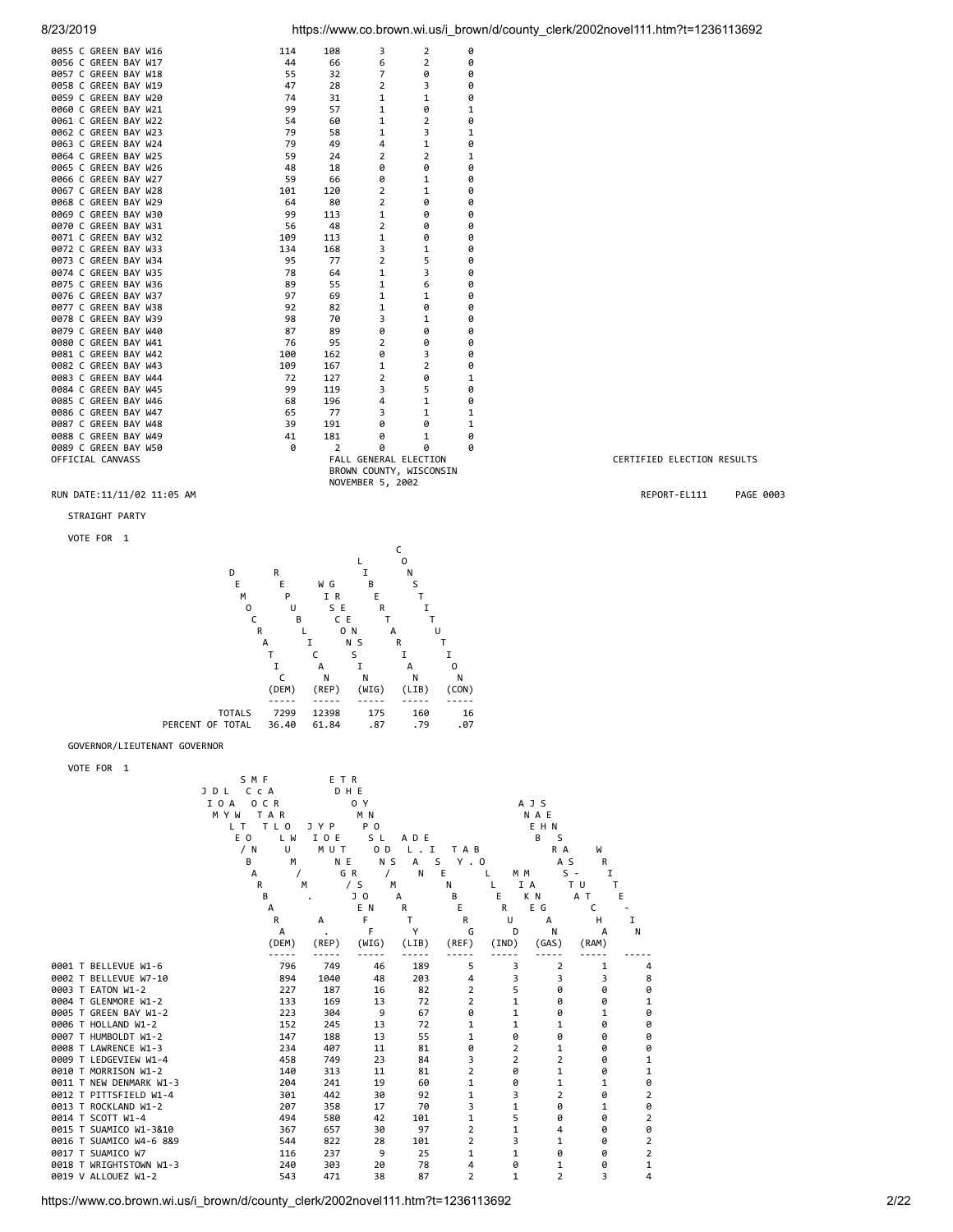

|                                                                                                                                                                                                                                                                                                                                                                                                                                                                                                                                                                                                                                                                                                                                                                                                                                                                                                                                          |                                                                                                                                                                                                                                                                     |                                                                                                                                                                                                                           |                                                                                                                                                                                                                                                                  |                                                                                                                                                                                          |                                                                                                                                                                                                                                                           | $\overline{\phantom{a}}$                                                                                                                                                                                                                                                                                                       |                                                                                                                                                                                                                                                       |           |
|------------------------------------------------------------------------------------------------------------------------------------------------------------------------------------------------------------------------------------------------------------------------------------------------------------------------------------------------------------------------------------------------------------------------------------------------------------------------------------------------------------------------------------------------------------------------------------------------------------------------------------------------------------------------------------------------------------------------------------------------------------------------------------------------------------------------------------------------------------------------------------------------------------------------------------------|---------------------------------------------------------------------------------------------------------------------------------------------------------------------------------------------------------------------------------------------------------------------|---------------------------------------------------------------------------------------------------------------------------------------------------------------------------------------------------------------------------|------------------------------------------------------------------------------------------------------------------------------------------------------------------------------------------------------------------------------------------------------------------|------------------------------------------------------------------------------------------------------------------------------------------------------------------------------------------|-----------------------------------------------------------------------------------------------------------------------------------------------------------------------------------------------------------------------------------------------------------|--------------------------------------------------------------------------------------------------------------------------------------------------------------------------------------------------------------------------------------------------------------------------------------------------------------------------------|-------------------------------------------------------------------------------------------------------------------------------------------------------------------------------------------------------------------------------------------------------|-----------|
| 0055 C GREEN BAY W16<br>0056 C GREEN BAY W17<br>0057 C GREEN BAY W18<br>0058 C GREEN BAY W19<br>0059 C GREEN BAY W20<br>0060 C GREEN BAY W21<br>0061 C GREEN BAY W22<br>0062 C GREEN BAY W23<br>0063 C GREEN BAY W24<br>0064 C GREEN BAY W25<br>0065 C GREEN BAY W26<br>0066 C GREEN BAY W27<br>0067 C GREEN BAY W28<br>0068 C GREEN BAY W29<br>0069 C GREEN BAY W30<br>0070 C GREEN BAY W31<br>0071 C GREEN BAY W32<br>0072 C GREEN BAY W33<br>0073 C GREEN BAY W34<br>0074 C GREEN BAY W35<br>0075 C GREEN BAY W36<br>0076 C GREEN BAY W37<br>0077 C GREEN BAY W38<br>0078 C GREEN BAY W39<br>0079 C GREEN BAY W40<br>0080 C GREEN BAY W41<br>0081 C GREEN BAY W42<br>0082 C GREEN BAY W43<br>0083 C GREEN BAY W44<br>0084 C GREEN BAY W45<br>0085 C GREEN BAY W46<br>0086 C GREEN BAY W47<br>0087 C GREEN BAY W48<br>0088 C GREEN BAY W49<br>0089 C GREEN BAY W50<br>OFFICIAL CANVASS<br>RUN DATE:11/11/02 11:05 AM<br>STRAIGHT PARTY | 114<br>44<br>55<br>47<br>74<br>99<br>54<br>79<br>79<br>59<br>48<br>59<br>101<br>64<br>99<br>56<br>109<br>134<br>95<br>78<br>89<br>97<br>92<br>98<br>87<br>76<br>100<br>109<br>72<br>99<br>68<br>65<br>39<br>41<br>0                                                 | 108<br>66<br>32<br>28<br>31<br>57<br>60<br>58<br>49<br>24<br>18<br>66<br>120<br>80<br>113<br>48<br>113<br>168<br>77<br>64<br>55<br>69<br>82<br>70<br>89<br>95<br>162<br>167<br>127<br>119<br>196<br>77<br>191<br>181<br>2 | 3<br>6<br>7<br>2<br>1<br>1<br>1<br>1<br>4<br>2<br>0<br>0<br>2<br>2<br>1<br>2<br>1<br>3<br>$\overline{2}$<br>1<br>1<br>1<br>1<br>3<br>0<br>2<br>0<br>1<br>2<br>3<br>4<br>3<br>0<br>0<br>0<br>FALL GENERAL ELECTION<br>BROWN COUNTY, WISCONSIN<br>NOVEMBER 5, 2002 | 2<br>2<br>0<br>3<br>1<br>0<br>$\overline{2}$<br>3<br>1<br>2<br>0<br>1<br>1<br>0<br>0<br>0<br>0<br>1<br>5<br>3<br>6<br>1<br>0<br>1<br>0<br>0<br>3<br>2<br>0<br>5<br>1<br>1<br>0<br>1<br>0 | 0<br>0<br>0<br>0<br>0<br>1<br>0<br>1<br>0<br>1<br>0<br>0<br>0<br>0<br>0<br>0<br>0<br>0<br>0<br>0<br>0<br>0<br>0<br>0<br>0<br>0<br>0<br>0<br>1<br>0<br>0<br>1<br>1<br>0<br>0                                                                               |                                                                                                                                                                                                                                                                                                                                | CERTIFIED ELECTION RESULTS<br>REPORT-EL111                                                                                                                                                                                                            | PAGE 0003 |
| VOTE FOR 1                                                                                                                                                                                                                                                                                                                                                                                                                                                                                                                                                                                                                                                                                                                                                                                                                                                                                                                               |                                                                                                                                                                                                                                                                     |                                                                                                                                                                                                                           | C                                                                                                                                                                                                                                                                |                                                                                                                                                                                          |                                                                                                                                                                                                                                                           |                                                                                                                                                                                                                                                                                                                                |                                                                                                                                                                                                                                                       |           |
| GOVERNOR/LIEUTENANT GOVERNOR<br>VOTE FOR 1                                                                                                                                                                                                                                                                                                                                                                                                                                                                                                                                                                                                                                                                                                                                                                                                                                                                                               | D<br>R<br>Ε<br>Ε<br>м<br>P<br>0<br>U<br>С<br>R<br>А<br>т<br>I<br>C<br>(DEM)<br>-----<br>7299<br><b>TOTALS</b><br>PERCENT OF TOTAL<br>36.40<br>SMF<br>JDL CCA<br>I O A O C R<br>MYW TAR<br>L T<br>T L O<br>L W<br>E O<br>/ N<br>U<br>В<br>М<br>А<br>R<br>В<br>А<br>R | W G<br>I R<br>S E<br>C E<br>В<br>L<br>Ι.<br>С<br>А<br>Ν<br>(REP)<br>-----<br>12398<br>61.84<br>ETR<br>DHE<br>J Y P<br>IOE<br>MUT<br>N E<br>$\prime$<br>М<br>А                                                             | 1<br>В<br>Ε<br>R<br>Τ<br>0 N<br>А<br>N S<br>R<br>S<br>1<br>I<br>Ν<br>(WIG)<br>-----<br>175<br>.87<br>0 Y<br>M N<br>P <sub>0</sub><br>S L<br>0 <sub>D</sub><br>N S<br>GR<br>$\prime$<br>/ S<br>М<br>J O<br>А<br>E N<br>R<br>F<br>F                                | Ν<br>S<br>Т<br>Ι<br>Т<br>U<br>Т<br>Ι<br>0<br>А<br>Ν<br>(LIB)<br>160<br>.79<br>A D E<br>$L$ . I<br>S<br>А<br>E<br>Ν<br>Ν<br>В<br>Τ<br>Y                                                   | Ν<br>(CON)<br>-----<br>16<br>.07<br>T A B<br>$Y$ . $0$<br>L<br>L<br>E.<br>E<br>R<br>R<br>U                                                                                                                                                                | A J S<br>N A E<br>EHN<br>B <sub>S</sub><br>R A<br>W<br>A S<br>M M<br>$S -$<br>IA<br>T U<br>K N<br>A T<br>E G<br>C<br>А<br>н<br>D<br>N                                                                                                                                                                                          | R<br>Ι.<br>T<br>Е<br>I<br>А<br>N                                                                                                                                                                                                                      |           |
| 0001 T BELLEVUE W1-6<br>0002 T BELLEVUE W7-10<br>0003 T EATON W1-2<br>0004 T GLENMORE W1-2<br>0005 T GREEN BAY W1-2<br>0006 T HOLLAND W1-2<br>0007 T HUMBOLDT W1-2<br>0008 T LAWRENCE W1-3<br>0009 T LEDGEVIEW W1-4<br>0010 T MORRISON W1-2<br>0011 T NEW DENMARK W1-3<br>0012 T PITTSFIELD W1-4<br>0013 T ROCKLAND W1-2<br>0014 T SCOTT W1-4<br>0015 T SUAMICO W1-3&10<br>0016 T SUAMICO W4-6 8&9<br>0017 T SUAMICO W7<br>0018 T WRIGHTSTOWN W1-3<br>0019 V ALLOUEZ W1-2                                                                                                                                                                                                                                                                                                                                                                                                                                                                | А<br>(DEM)<br>-----<br>796<br>894<br>227<br>133<br>223<br>152<br>147<br>234<br>458<br>140<br>204<br>301<br>207<br>494<br>367<br>544<br>116<br>240<br>543                                                                                                            | $\cdot$<br>(REP)<br>-----<br>749<br>1040<br>187<br>169<br>304<br>245<br>188<br>407<br>749<br>313<br>241<br>442<br>358<br>580<br>657<br>822<br>237<br>303<br>471                                                           | (WIG)<br>$\frac{1}{2} \frac{1}{2} \frac{1}{2} \frac{1}{2} \frac{1}{2} \frac{1}{2} \frac{1}{2} \frac{1}{2} \frac{1}{2}$<br>46<br>48<br>16<br>13<br>9<br>13<br>13<br>11<br>23<br>11<br>19<br>30<br>17<br>42<br>30<br>28<br>9<br>20<br>38                           | (LIB)<br>-----<br>189<br>203<br>82<br>72<br>67<br>72<br>55<br>81<br>84<br>81<br>60<br>92<br>70<br>101<br>97<br>101<br>25<br>78<br>87                                                     | G<br>(REF)<br>(IND)<br>$- - - - -$<br>-----<br>5<br>4<br>$\overline{2}$<br>$\overline{2}$<br>0<br>$\mathbf{1}$<br>1<br>0<br>3<br>$\overline{2}$<br>1<br>$\mathbf{1}$<br>3<br>$\mathbf{1}$<br>$\overline{2}$<br>$\overline{2}$<br>1<br>4<br>$\overline{2}$ | (GAS)<br>(RAM)<br>-----<br>3<br>$\overline{2}$<br>3<br>3<br>5<br>0<br>$\mathbf{1}$<br>0<br>$\mathbf{1}$<br>0<br>$\mathbf{1}$<br>1<br>0<br>0<br>$\overline{2}$<br>1<br>$\overline{2}$<br>$\overline{2}$<br>0<br>$\mathbf 1$<br>0<br>$\mathbf 1$<br>3<br>2<br>1<br>0<br>5<br>0<br>1<br>4<br>3<br>1<br>1<br>0<br>0<br>1<br>1<br>2 | -----<br>1<br>4<br>8<br>3<br>0<br>0<br>0<br>$\mathbf{1}$<br>0<br>1<br>0<br>0<br>0<br>0<br>Ø<br>0<br>0<br>1<br>0<br>1<br>1<br>0<br>Ø<br>2<br>0<br>1<br>0<br>$\overline{2}$<br>0<br>0<br>0<br>$\overline{2}$<br>$\overline{2}$<br>0<br>0<br>1<br>3<br>4 |           |

https://www.co.brown.wi.us/i\_brown/d/county\_clerk/2002novel111.htm?t=1236113692 2/22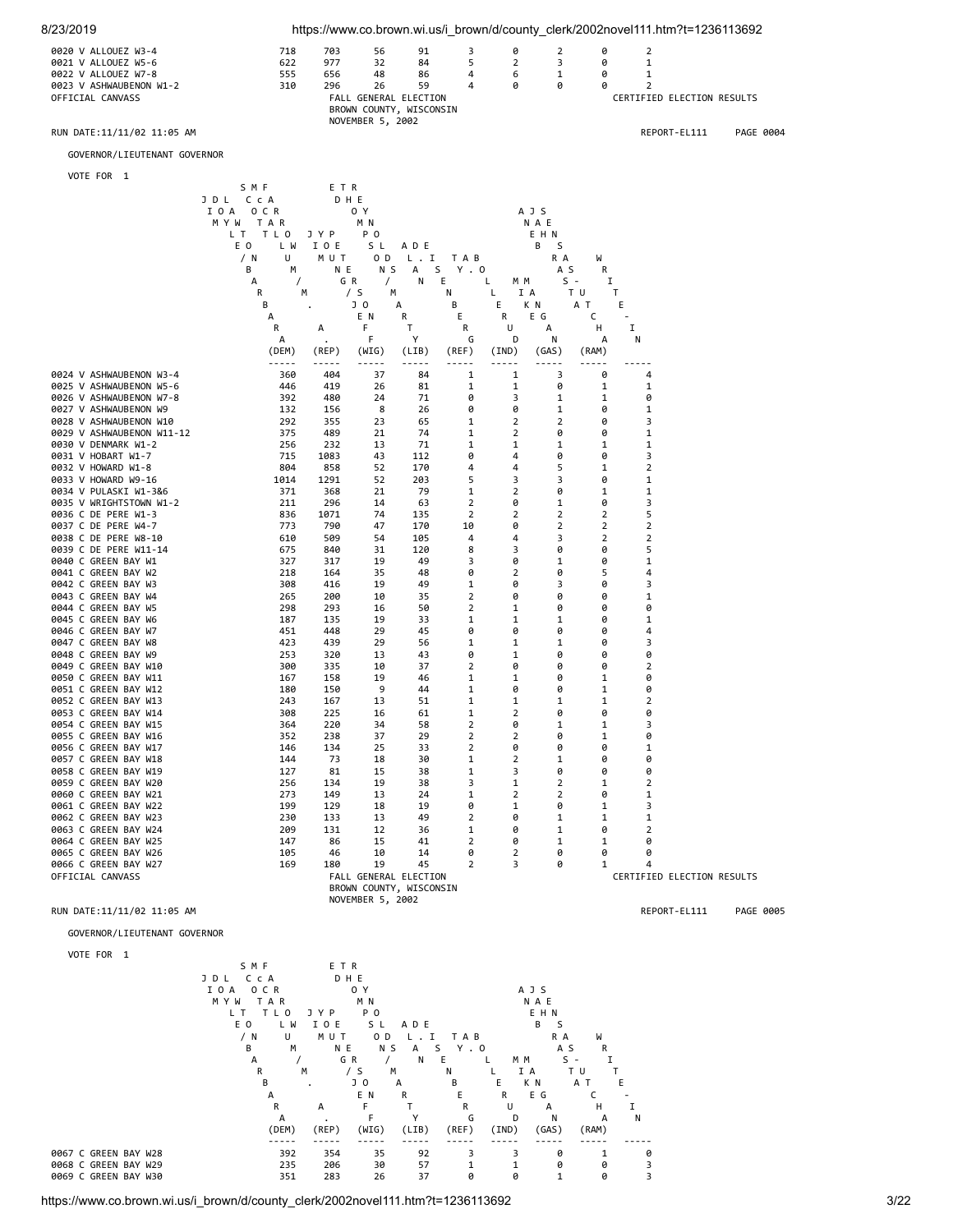



https://www.co.brown.wi.us/i\_brown/d/county\_clerk/2002novel111.htm?t=1236113692 3/22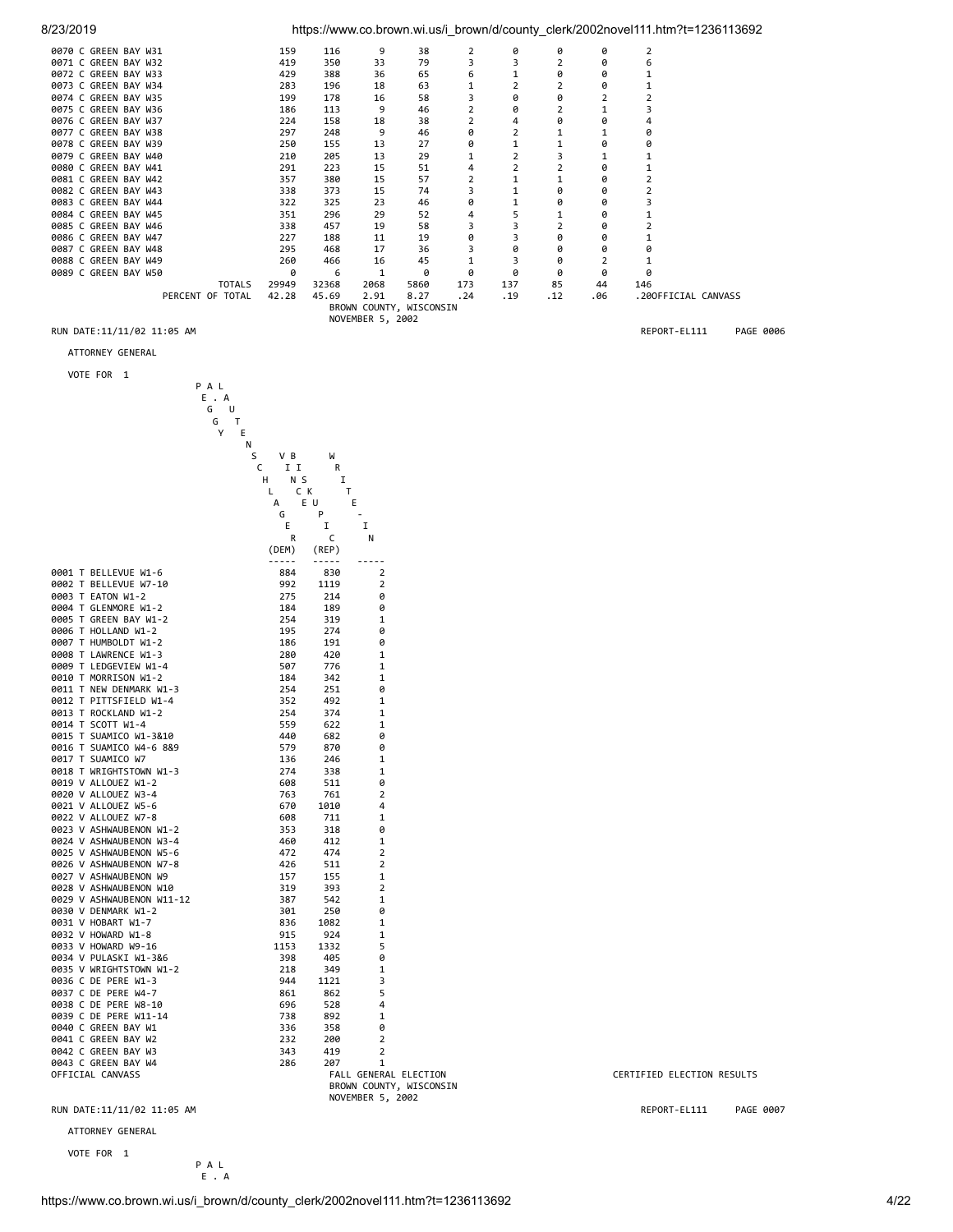### 8/23/2019 https://www.co.brown.wi.us/i\_brown/d/county\_clerk/2002novel111.htm?t=1236113692

| 0070 C GREEN BAY W31       | 159   | 116   | 9                | 38                      |     | ø   | ø    | ø   |                     |           |
|----------------------------|-------|-------|------------------|-------------------------|-----|-----|------|-----|---------------------|-----------|
| 0071 C GREEN BAY W32       | 419   | 350   | 33               | 79                      | 3   |     |      | ø   |                     |           |
| 0072 C GREEN BAY W33       | 429   | 388   | 36               | 65                      | 6   |     | ø    | ø   |                     |           |
| 0073 C GREEN BAY W34       | 283   | 196   | 18               | 63                      |     |     |      | ø   |                     |           |
| 0074 C GREEN BAY W35       | 199   | 178   | 16               | 58                      |     | ø   |      |     |                     |           |
| 0075 C GREEN BAY W36       | 186   | 113   | 9                | 46                      |     | ø   |      |     |                     |           |
| 0076 C GREEN BAY W37       | 224   | 158   | 18               | 38                      |     | 4   |      | ø   |                     |           |
| 0077 C GREEN BAY W38       | 297   | 248   | 9                | 46                      | 0   |     |      |     | ø                   |           |
| 0078 C GREEN BAY W39       | 250   | 155   | 13               | 27                      | 0   |     |      | ø   | ø                   |           |
| 0079 C GREEN BAY W40       | 210   | 205   | 13               | 29                      |     |     |      |     |                     |           |
| 0080 C GREEN BAY W41       | 291   | 223   | 15               | 51                      | 4   |     |      | ø   |                     |           |
| 0081 C GREEN BAY W42       | 357   | 380   | 15               | 57                      |     |     |      | ø   |                     |           |
| 0082 C GREEN BAY W43       | 338   | 373   | 15               | 74                      |     |     |      | ø   |                     |           |
| 0083 C GREEN BAY W44       | 322   | 325   | 23               | 46                      | 0   |     | ø    | ø   |                     |           |
| 0084 C GREEN BAY W45       | 351   | 296   | 29               | 52                      | 4   |     |      | ø   |                     |           |
| 0085 C GREEN BAY W46       | 338   | 457   | 19               | 58                      | 3   |     |      | ø   |                     |           |
| 0086 C GREEN BAY W47       | 227   | 188   | 11               | 19                      | 0   |     |      | ø   |                     |           |
| 0087 C GREEN BAY W48       | 295   | 468   | 17               | 36                      |     |     |      | ø   |                     |           |
| 0088 C GREEN BAY W49       | 260   | 466   | 16               | 45                      |     |     |      |     |                     |           |
| 0089 C GREEN BAY W50       | ø     | 6     |                  | ø                       | 0   | ø   | ø    | ø   | ø                   |           |
| <b>TOTALS</b>              | 29949 | 32368 | 2068             | 5860                    | 173 | 137 | 85   | 44  | 146                 |           |
| PERCENT OF TOTAL           | 42.28 | 45.69 | 2.91             | 8.27                    | .24 | .19 | . 12 | .06 | .200FFICIAL CANVASS |           |
|                            |       |       |                  | BROWN COUNTY, WISCONSIN |     |     |      |     |                     |           |
|                            |       |       | NOVEMBER 5, 2002 |                         |     |     |      |     |                     |           |
| RUN DATE:11/11/02 11:05 AM |       |       |                  |                         |     |     |      |     | REPORT-EL111        | PAGE 0006 |

ATTORNEY GENERAL

| VOTE FOR |  |
|----------|--|
|          |  |

| VUIE FUN 1                                       |                   |             |                                  |                            |
|--------------------------------------------------|-------------------|-------------|----------------------------------|----------------------------|
|                                                  | PAL<br>E.A        |             |                                  |                            |
|                                                  | G<br>U            |             |                                  |                            |
|                                                  | G<br>$\mathsf{T}$ |             |                                  |                            |
|                                                  | Υ<br>Е            |             |                                  |                            |
|                                                  | Ν                 |             |                                  |                            |
|                                                  | S<br>V B          | W           |                                  |                            |
|                                                  | I I<br>c          | R           |                                  |                            |
|                                                  | N S<br>н          | I.          |                                  |                            |
|                                                  | L                 | C K         | т                                |                            |
|                                                  | А                 | E U         | Ε                                |                            |
|                                                  | G                 | P           |                                  |                            |
|                                                  | Е                 | I           | I                                |                            |
|                                                  | $\mathsf{R}$      | C           | N                                |                            |
|                                                  | (DEM)             | (REP)       |                                  |                            |
|                                                  |                   |             |                                  |                            |
| 0001 T BELLEVUE W1-6<br>0002 T BELLEVUE W7-10    | 884<br>992        | 830<br>1119 | $\overline{2}$<br>$\overline{2}$ |                            |
| 0003 T EATON W1-2                                | 275               | 214         | 0                                |                            |
| 0004 T GLENMORE W1-2                             | 184               | 189         | 0                                |                            |
| 0005 T GREEN BAY W1-2                            | 254               | 319         | 1                                |                            |
| 0006 T HOLLAND W1-2                              | 195               | 274         | 0                                |                            |
| 0007 T HUMBOLDT W1-2                             | 186               | 191         | 0                                |                            |
| 0008 T LAWRENCE W1-3                             | 280               | 420         | 1                                |                            |
| 0009 T LEDGEVIEW W1-4                            | 507               | 776         | 1                                |                            |
| 0010 T MORRISON W1-2                             | 184               | 342         | 1                                |                            |
| 0011 T NEW DENMARK W1-3                          | 254               | 251         | 0                                |                            |
| 0012 T PITTSFIELD W1-4                           | 352               | 492         | 1                                |                            |
| 0013 T ROCKLAND W1-2                             | 254               | 374         | 1                                |                            |
| 0014 T SCOTT W1-4                                | 559               | 622         | 1                                |                            |
| 0015 T SUAMICO W1-3&10                           | 440               | 682         | 0                                |                            |
| 0016 T SUAMICO W4-6 8&9                          | 579               | 870         | 0                                |                            |
| 0017 T SUAMICO W7                                | 136               | 246         | 1                                |                            |
| 0018 T WRIGHTSTOWN W1-3<br>0019 V ALLOUEZ W1-2   | 274<br>608        | 338<br>511  | 1<br>0                           |                            |
| 0020 V ALLOUEZ W3-4                              | 763               | 761         | 2                                |                            |
| 0021 V ALLOUEZ W5-6                              | 670               | 1010        | 4                                |                            |
| 0022 V ALLOUEZ W7-8                              | 608               | 711         | 1                                |                            |
| 0023 V ASHWAUBENON W1-2                          | 353               | 318         | 0                                |                            |
| 0024 V ASHWAUBENON W3-4                          | 460               | 412         | 1                                |                            |
| 0025 V ASHWAUBENON W5-6                          | 472               | 474         | 2                                |                            |
| 0026 V ASHWAUBENON W7-8                          | 426               | 511         | 2                                |                            |
| 0027 V ASHWAUBENON W9                            | 157               | 155         | 1                                |                            |
| 0028 V ASHWAUBENON W10                           | 319               | 393         | $\overline{2}$                   |                            |
| 0029 V ASHWAUBENON W11-12                        | 387               | 542         | 1                                |                            |
| 0030 V DENMARK W1-2                              | 301               | 250         | 0                                |                            |
| 0031 V HOBART W1-7                               | 836               | 1082        | 1                                |                            |
| 0032 V HOWARD W1-8                               | 915               | 924         | 1                                |                            |
| 0033 V HOWARD W9-16                              | 1153              | 1332        | 5                                |                            |
| 0034 V PULASKI W1-3&6<br>0035 V WRIGHTSTOWN W1-2 | 398<br>218        | 405<br>349  | 0<br>1                           |                            |
| 0036 C DE PERE W1-3                              | 944               | 1121        | 3                                |                            |
| 0037 C DE PERE W4-7                              | 861               | 862         | 5                                |                            |
| 0038 C DE PERE W8-10                             | 696               | 528         | 4                                |                            |
| 0039 C DE PERE W11-14                            | 738               | 892         | 1                                |                            |
| 0040 C GREEN BAY W1                              | 336               | 358         | 0                                |                            |
| 0041 C GREEN BAY W2                              | 232               | 200         | $\overline{2}$                   |                            |
| 0042 C GREEN BAY W3                              | 343               | 419         | $\overline{2}$                   |                            |
| 0043 C GREEN BAY W4                              | 286               | 207         | $\mathbf{1}$                     |                            |
| OFFICIAL CANVASS                                 |                   |             | FALL GENERAL ELECTION            | CERTIFIED ELECTION RESULTS |
|                                                  |                   |             | BROWN COUNTY, WISCONSIN          |                            |
|                                                  |                   |             | NOVEMBER 5, 2002                 |                            |

ATTORNEY GENERAL

VOTE FOR 1

P A L E . A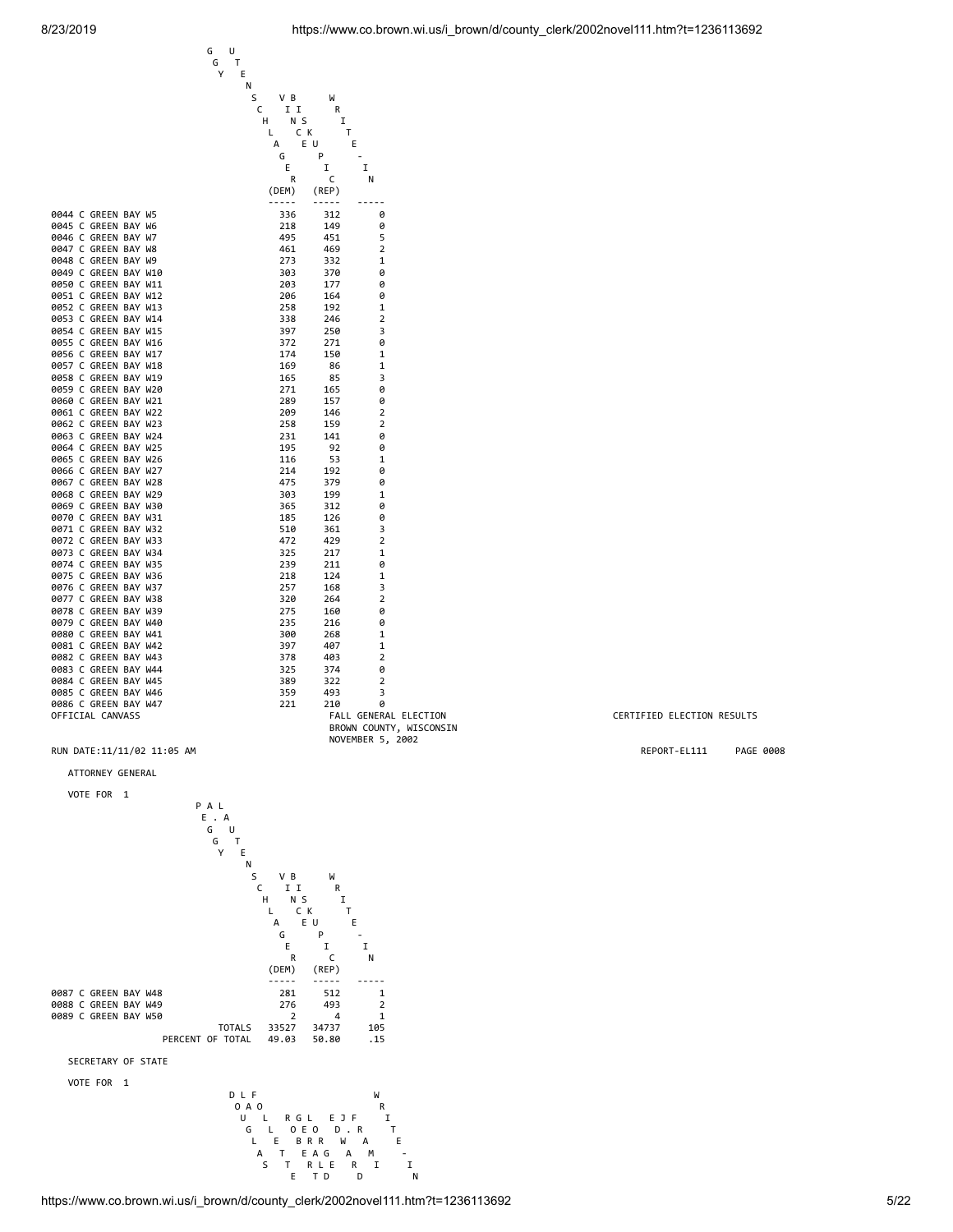0047 C GREEN BAY W8

0054 C GREEN BAY W15

0060 C GREEN BAY W21

0066 C GREEN BAY W27

0079 C GREEN BAY W40

0085 C GREEN BAY W46



|                            | BROWN COUNTY, WISCONSIN |
|----------------------------|-------------------------|
|                            | NOVEMBER 5, 2002        |
| RUN DATE:11/11/02 11:05 AM |                         |

### ATTORNEY GENERAL



#### CERTIFIED ELECTION RESULTS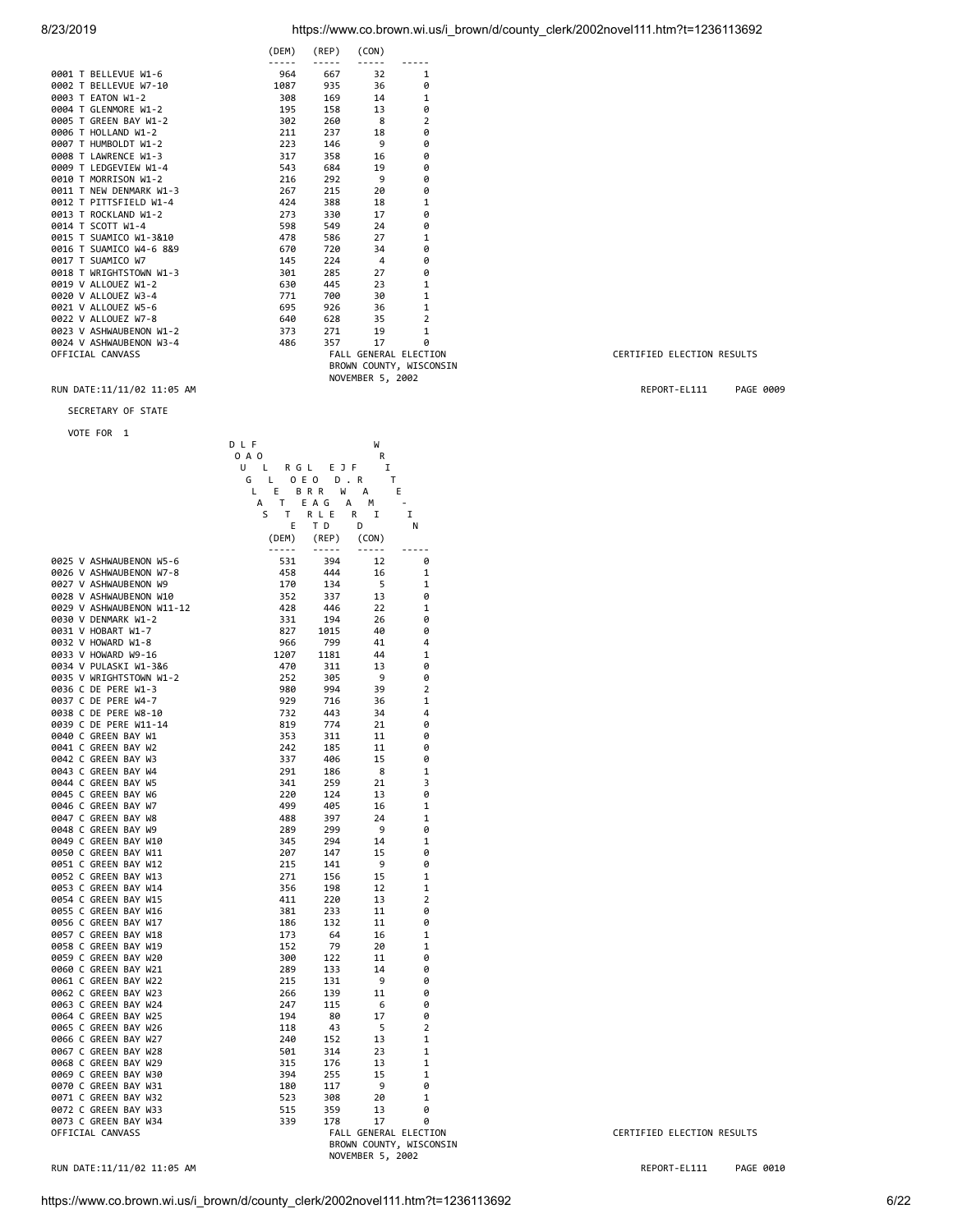| 8/23/2019 | https://www.co.brown.wi.us/i brown/d/county clerk/2002novel111.htm?t=1236113692 |
|-----------|---------------------------------------------------------------------------------|
|           |                                                                                 |

|  |                         | (DEM) | (REP) | (CON)            |                         |
|--|-------------------------|-------|-------|------------------|-------------------------|
|  |                         |       |       |                  |                         |
|  | 0001 T BELLEVUE W1-6    | 964   | 667   | 32               | 1                       |
|  | 0002 T BELLEVUE W7-10   | 1087  | 935   | 36               | 0                       |
|  | 0003 T EATON W1-2       | 308   | 169   | 14               | 1                       |
|  | 0004 T GLENMORE W1-2    | 195   | 158   | 13               | 0                       |
|  | 0005 T GREEN BAY W1-2   | 302   | 260   | 8                | $\overline{2}$          |
|  | 0006 T HOLLAND W1-2     | 211   | 237   | 18               | 0                       |
|  | 0007 T HUMBOLDT W1-2    | 223   | 146   | 9                | 0                       |
|  | 0008 T LAWRENCE W1-3    | 317   | 358   | 16               | 0                       |
|  | 0009 T LEDGEVIEW W1-4   | 543   | 684   | 19               | 0                       |
|  | 0010 T MORRISON W1-2    | 216   | 292   | 9                | 0                       |
|  | 0011 T NEW DENMARK W1-3 | 267   | 215   | 20               | 0                       |
|  | 0012 T PITTSFIELD W1-4  | 424   | 388   | 18               | 1                       |
|  | 0013 T ROCKLAND W1-2    | 273   | 330   | 17               | 0                       |
|  | 0014 T SCOTT W1-4       | 598   | 549   | 24               | 0                       |
|  | 0015 T SUAMICO W1-3&10  | 478   | 586   | 27               | 1                       |
|  | 0016 T SUAMICO W4-6 8&9 | 670   | 720   | 34               | 0                       |
|  | 0017 T SUAMICO W7       | 145   | 224   | $\overline{4}$   | 0                       |
|  | 0018 T WRIGHTSTOWN W1-3 | 301   | 285   | 27               | 0                       |
|  | 0019 V ALLOUEZ W1-2     | 630   | 445   | 23               | 1                       |
|  | 0020 V ALLOUEZ W3-4     | 771   | 700   | 30               | 1                       |
|  | 0021 V ALLOUEZ W5-6     | 695   | 926   | 36               | $\mathbf{1}$            |
|  | 0022 V ALLOUEZ W7-8     | 640   | 628   | 35               | $\overline{2}$          |
|  | 0023 V ASHWAUBENON W1-2 | 373   | 271   | 19               | 1                       |
|  | 0024 V ASHWAUBENON W3-4 | 486   | 357   | 17               | 0                       |
|  | OFFICIAL CANVASS        |       |       |                  | FALL GENERAL ELECTION   |
|  |                         |       |       |                  | BROWN COUNTY, WISCONSIN |
|  |                         |       |       | NOVEMBER 5, 2002 |                         |

#### RUN DATE:11/11/02 11:05 AM REPORT-EL111 PAGE 0009

#### SECRETARY OF STATE

D L F W

VOTE FOR 1

|                                                 | 0 A O           |             | R                |                         |                            |
|-------------------------------------------------|-----------------|-------------|------------------|-------------------------|----------------------------|
|                                                 | U<br>R G L<br>L | EJF         | I                |                         |                            |
|                                                 | G<br>L          | 0 E 0       | $D$ . R<br>т     |                         |                            |
|                                                 | Г<br>Ε          | B R R<br>W  | А                | E                       |                            |
|                                                 | А<br>T.         | E A G       | А<br>М           |                         |                            |
|                                                 | S<br>T          | R L E       | R<br>I           | I                       |                            |
|                                                 | E               | T D         | D                | N                       |                            |
|                                                 | (DEM)           | (REP)       | (CON)            |                         |                            |
|                                                 | $- - - - -$     | $- - - - -$ | $- - - - -$      |                         |                            |
| 0025 V ASHWAUBENON W5-6                         | 531             | 394         | 12               | 0                       |                            |
| 0026 V ASHWAUBENON W7-8                         | 458             | 444         | 16               | $\mathbf 1$             |                            |
| 0027 V ASHWAUBENON W9<br>0028 V ASHWAUBENON W10 | 170<br>352      | 134         | 5<br>13          | 1                       |                            |
| 0029 V ASHWAUBENON W11-12                       | 428             | 337<br>446  | 22               | 0<br>1                  |                            |
| 0030 V DENMARK W1-2                             | 331             | 194         | 26               | 0                       |                            |
| 0031 V HOBART W1-7                              | 827             | 1015        | 40               | 0                       |                            |
| 0032 V HOWARD W1-8                              | 966             | 799         | 41               | 4                       |                            |
| 0033 V HOWARD W9-16                             | 1207            | 1181        | 44               | 1                       |                            |
| 0034 V PULASKI W1-3&6                           | 470             | 311         | 13               | 0                       |                            |
| 0035 V WRIGHTSTOWN W1-2                         | 252             | 305         | 9                | 0                       |                            |
| 0036 C DE PERE W1-3                             | 980             | 994         | 39               | $\overline{2}$          |                            |
| 0037 C DE PERE W4-7                             | 929             | 716         | 36               | 1                       |                            |
| 0038 C DE PERE W8-10                            | 732             | 443         | 34               | 4                       |                            |
| 0039 C DE PERE W11-14                           | 819             | 774         | 21               | 0                       |                            |
| 0040 C GREEN BAY W1                             | 353             | 311         | 11               | 0                       |                            |
| 0041 C GREEN BAY W2                             | 242             | 185         | 11               | 0                       |                            |
| 0042 C GREEN BAY W3                             | 337             | 406         | 15               | 0                       |                            |
| 0043 C GREEN BAY W4                             | 291             | 186         | 8                | 1                       |                            |
| 0044 C GREEN BAY W5                             | 341             | 259         | 21               | 3                       |                            |
| 0045 C GREEN BAY W6                             | 220             | 124         | 13               | 0                       |                            |
| 0046 C GREEN BAY W7                             | 499             | 405         | 16               | 1                       |                            |
| 0047 C GREEN BAY W8                             | 488             | 397         | 24               | 1                       |                            |
| 0048 C GREEN BAY W9                             | 289             | 299         | 9                | 0                       |                            |
| 0049 C GREEN BAY W10                            | 345             | 294         | 14               | $\mathbf 1$             |                            |
| 0050 C GREEN BAY W11                            | 207             | 147         | 15               | 0                       |                            |
| 0051 C GREEN BAY W12                            | 215             | 141         | 9                | 0                       |                            |
| 0052 C GREEN BAY W13                            | 271             | 156         | 15               | 1                       |                            |
| 0053 C GREEN BAY W14                            | 356             | 198         | 12               | $\mathbf 1$             |                            |
| 0054 C GREEN BAY W15<br>0055 C GREEN BAY W16    | 411<br>381      | 220<br>233  | 13<br>11         | 2<br>0                  |                            |
| 0056 C GREEN BAY W17                            | 186             | 132         | 11               | 0                       |                            |
| 0057 C GREEN BAY W18                            | 173             | 64          | 16               | 1                       |                            |
| 0058 C GREEN BAY W19                            | 152             | 79          | 20               | 1                       |                            |
| 0059 C GREEN BAY W20                            | 300             | 122         | 11               | 0                       |                            |
| 0060 C GREEN BAY W21                            | 289             | 133         | 14               | 0                       |                            |
| 0061 C GREEN BAY W22                            | 215             | 131         | 9                | 0                       |                            |
| 0062 C GREEN BAY W23                            | 266             | 139         | 11               | 0                       |                            |
| 0063 C GREEN BAY W24                            | 247             | 115         | 6                | 0                       |                            |
| 0064 C GREEN BAY W25                            | 194             | 80          | 17               | 0                       |                            |
| 0065 C GREEN BAY W26                            | 118             | 43          | 5                | 2                       |                            |
| 0066 C GREEN BAY W27                            | 240             | 152         | 13               | $\mathbf 1$             |                            |
| 0067 C GREEN BAY W28                            | 501             | 314         | 23               | 1                       |                            |
| 0068 C GREEN BAY W29                            | 315             | 176         | 13               | 1                       |                            |
| 0069 C GREEN BAY W30                            | 394             | 255         | 15               | 1                       |                            |
| 0070 C GREEN BAY W31                            | 180             | 117         | 9                | 0                       |                            |
| 0071 C GREEN BAY W32                            | 523             | 308         | 20               | 1                       |                            |
| 0072 C GREEN BAY W33                            | 515             | 359         | 13               | 0                       |                            |
| 0073 C GREEN BAY W34                            | 339             | 178         | 17               | 0                       |                            |
| OFFICIAL CANVASS                                |                 |             |                  | FALL GENERAL ELECTION   | CERTIFIED ELECTION RESULTS |
|                                                 |                 |             |                  | BROWN COUNTY, WISCONSIN |                            |
|                                                 |                 |             | NOVEMBER 5, 2002 |                         |                            |

# 0640 628 35 2<br>373 271 19 1<br>486 357 17 0<br>648 FALL GENERAL ELECTION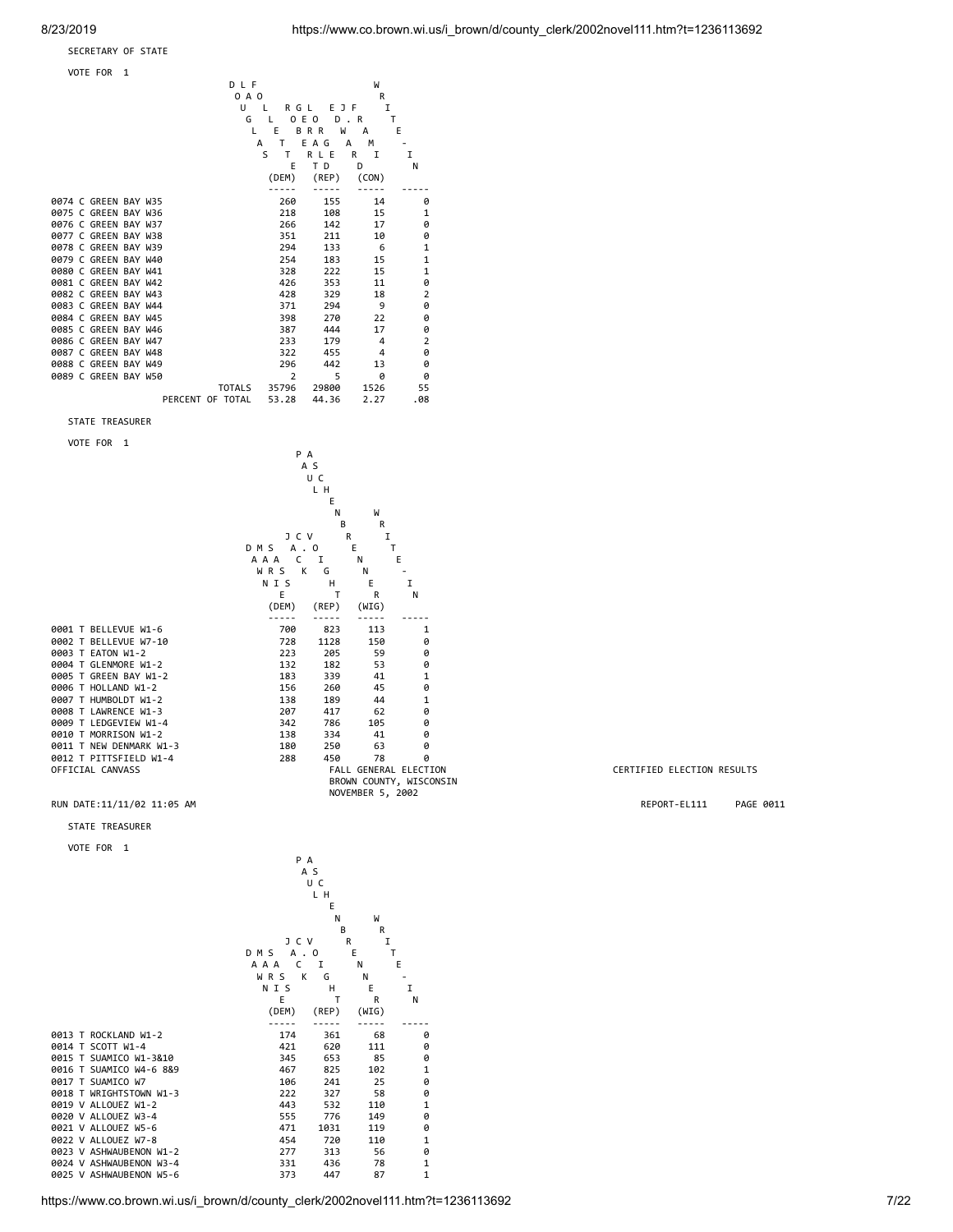#### SECRETARY OF STATE

VOTE FOR 1

|                      | DLF              |                |                 | W        |                |  |
|----------------------|------------------|----------------|-----------------|----------|----------------|--|
|                      | 0 A O            |                |                 | R        |                |  |
|                      | U                | RGL            | E               | I<br>J F |                |  |
|                      | G                | I.             | 0 E 0<br>D      | R        | Τ              |  |
|                      | L                | Е              | <b>BRR</b><br>W | A        | E              |  |
|                      |                  | т<br>A         | E A G           | м<br>A   |                |  |
|                      |                  | S<br>т         | RLE             | R<br>I   | I              |  |
|                      |                  | E              | TD              | D        | N              |  |
|                      |                  | (DEM)          | (REP)           | (CON)    |                |  |
|                      |                  |                |                 |          |                |  |
| 0074 C GREEN BAY W35 |                  | 260            | 155             | 14       | 0              |  |
| 0075 C GREEN BAY W36 |                  | 218            | 108             | 15       | 1              |  |
| 0076 C GREEN BAY W37 |                  | 266            | 142             | 17       | 0              |  |
| 0077 C GREEN BAY W38 |                  | 351            | 211             | 10       | 0              |  |
| 0078 C GREEN BAY W39 |                  | 294            | 133             | 6        | 1              |  |
| 0079 C GREEN BAY W40 |                  | 254            | 183             | 15       | 1              |  |
| 0080 C GREEN BAY W41 |                  | 328            | 222             | 15       | 1              |  |
| 0081 C GREEN BAY W42 |                  | 426            | 353             | 11       | 0              |  |
| 0082 C GREEN BAY W43 |                  | 428            | 329             | 18       | $\overline{2}$ |  |
| 0083 C GREEN BAY W44 |                  | 371            | 294             | 9        | 0              |  |
| 0084 C GREEN BAY W45 |                  | 398            | 270             | 22       | 0              |  |
| 0085 C GREEN BAY W46 |                  | 387            | 444             | 17       | 0              |  |
| 0086 C GREEN BAY W47 |                  | 233            | 179             | 4        | $\overline{2}$ |  |
| 0087 C GREEN BAY W48 |                  | 322            | 455             | 4        | 0              |  |
| 0088 C GREEN BAY W49 |                  | 296            | 442             | 13       | 0              |  |
| 0089 C GREEN BAY W50 |                  | $\overline{2}$ | 5               | 0        | 0              |  |
|                      | <b>TOTALS</b>    | 35796          | 29800           | 1526     | 55             |  |
|                      | PERCENT OF TOTAL | 53.28          | 44.36           | 2.27     | .08            |  |

#### STATE TREASURER

VOTE FOR 1



0005 T GREEN BAY W1-2

P A

STATE TREASURER

0015 T SUAMICO W1-3&10

0021 V ALLOUEZ W5-6

0025 V ASHWAUBENON W5-6

VOTE FOR 1



### CERTIFIED ELECTION RESULTS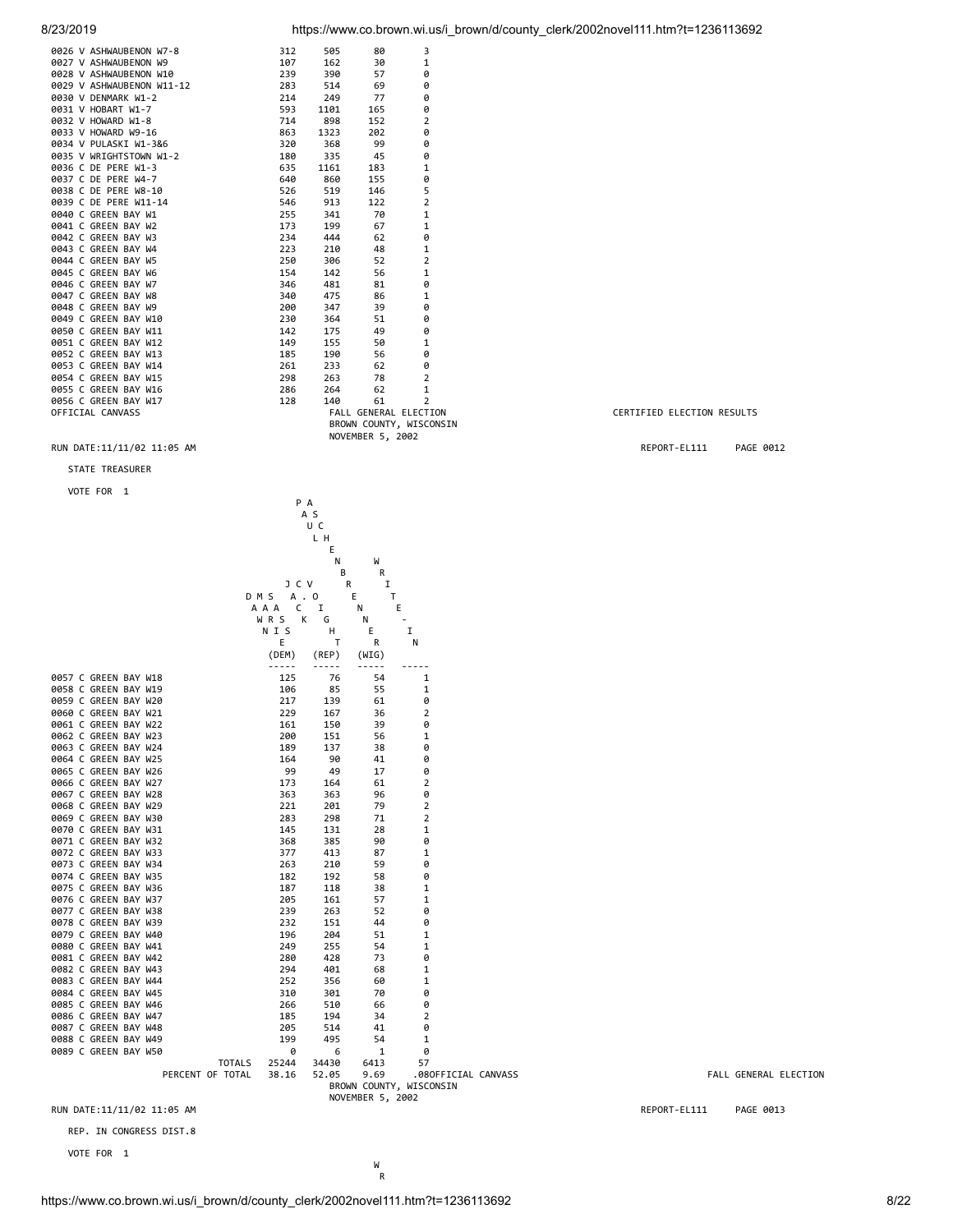| 0026 V ASHWAUBENON W7-8    | 312 | 505  | 80                    | 3                       |                            |           |
|----------------------------|-----|------|-----------------------|-------------------------|----------------------------|-----------|
| 0027 V ASHWAUBENON W9      | 107 | 162  | 30                    | 1                       |                            |           |
| 0028 V ASHWAUBENON W10     | 239 | 390  | 57                    | 0                       |                            |           |
| 0029 V ASHWAUBENON W11-12  | 283 | 514  | 69                    | e                       |                            |           |
| 0030 V DENMARK W1-2        | 214 | 249  | 77                    | e                       |                            |           |
| 0031 V HOBART W1-7         | 593 | 1101 | 165                   | e                       |                            |           |
| 0032 V HOWARD W1-8         | 714 | 898  | 152                   | $\overline{2}$          |                            |           |
| 0033 V HOWARD W9-16        | 863 | 1323 | 202                   | 0                       |                            |           |
| 0034 V PULASKI W1-3&6      | 320 | 368  | 99                    | 0                       |                            |           |
| 0035 V WRIGHTSTOWN W1-2    | 180 | 335  | 45                    | e                       |                            |           |
| 0036 C DE PERE W1-3        | 635 | 1161 | 183                   | 1                       |                            |           |
| 0037 C DE PERE W4-7        | 640 | 860  | 155                   | 0                       |                            |           |
| 0038 C DE PERE W8-10       | 526 | 519  | 146                   | 5                       |                            |           |
| 0039 C DE PERE W11-14      | 546 | 913  | 122                   | $\overline{2}$          |                            |           |
| 0040 C GREEN BAY W1        | 255 | 341  | 70                    | $\mathbf 1$             |                            |           |
| 0041 C GREEN BAY W2        | 173 | 199  | 67                    | 1                       |                            |           |
| 0042 C GREEN BAY W3        | 234 | 444  | 62                    | 0                       |                            |           |
| 0043 C GREEN BAY W4        | 223 | 210  | 48                    | 1                       |                            |           |
| 0044 C GREEN BAY W5        | 250 | 306  | 52                    | 2                       |                            |           |
| 0045 C GREEN BAY W6        | 154 | 142  | 56                    | 1                       |                            |           |
| 0046 C GREEN BAY W7        | 346 | 481  | 81                    | 0                       |                            |           |
| 0047 C GREEN BAY W8        | 340 | 475  | 86                    | 1                       |                            |           |
| 0048 C GREEN BAY W9        | 200 | 347  | 39                    | 0                       |                            |           |
| 0049 C GREEN BAY W10       | 230 | 364  | 51                    | 0                       |                            |           |
| 0050 C GREEN BAY W11       | 142 | 175  | 49                    | 0                       |                            |           |
| 0051 C GREEN BAY W12       | 149 | 155  | 50                    | 1                       |                            |           |
| 0052 C GREEN BAY W13       | 185 | 190  | 56                    | 0                       |                            |           |
| 0053 C GREEN BAY W14       | 261 | 233  | 62                    | 0                       |                            |           |
| 0054 C GREEN BAY W15       | 298 | 263  | 78                    | 2                       |                            |           |
| 0055 C GREEN BAY W16       | 286 | 264  | 62                    | 1                       |                            |           |
| 0056 C GREEN BAY W17       | 128 | 140  | 61                    | $\overline{2}$          |                            |           |
| OFFICIAL CANVASS           |     |      | FALL GENERAL ELECTION |                         | CERTIFIED ELECTION RESULTS |           |
|                            |     |      |                       | BROWN COUNTY, WISCONSIN |                            |           |
|                            |     |      | NOVEMBER 5, 2002      |                         |                            |           |
| RUN DATE:11/11/02 11:05 AM |     |      |                       |                         | REPORT-EL111               | PAGE 0012 |
| <b>STATE TREASURER</b>     |     |      |                       |                         |                            |           |
| VOTE FOR 1                 |     |      |                       |                         |                            |           |

 P A A S U C **LH LH** Experimental control of the control of the control of the Control of the Control of the Control of the Control of the Control of the Control of the Control of the Control of the Control of the Control of the Control of the N W B R J C V R I D M S A . O E T A A A C I N E WRSK G N -N I S H E I E T R N (DEM) (REP) (WIG) ----- ----- ----- ----- 0057 C GREEN BAY W18<br>19658 C GREEN BAY W19 106 106 106 55 1 0058 C GREEN BAY W19 106 85 55 1 0059 C GREEN BAY W20 0060 C GREEN BAY W21 229 167 36 2 0061 C GREEN BAY W22 161 150 39 0 0062 C GREEN BAY W23 200 151 56 1 0063 C GREEN BAY W24 189 137 38 0<br>0064 C GREEN BAY W25 164 90 41 0 0064 C GREEN BAY W25 164 90 41 0<br>0065 C GREEN BAY W26 99 49 17 0 0065 C GREEN BAY W26 0066 C GREEN BAY W27 173 164 61 2 0067 C GREEN BAY W28 363 363 96 0 0068 C GREEN BAY W29<br>19668 C GREEN BAY W29<br>19669 C GREEN BAY W30 283 298 71 2 0069 C GREEN BAY W30 283 298 71 2<br>0070 C GREEN BAY W31 28 145 131 28 1 0070 C GREEN BAY W31 145 131 28 1<br>0071 C GREEN BAY W32 368 385 90 0 0071 C GREEN BAY W32<br>0072 C GREEN BAY W33 377 413 87 1 0072 C GREEN BAY W33 377 413 87 1 0073 C GREEN BAY W34 263 210 59 0 0074 C GREEN BAY W35 182 192 58 0 0075 C GREEN BAY W36 187 118 38 1<br>0076 C GREEN BAY W37 205 161 57 1 0076 C GREEN BAY W37 205 161 57 1 0077 C GREEN BAY W38 239 263 52 0<br>0078 C GREEN BAY W39 232 151 44 0 0078 C GREEN BAY W39<br>
0079 C GREEN BAY W40<br>
0080 C GREEN BAY W41<br>
249 255 54 0079 C GREEN BAY W40 196 204 51 1 0080 C GREEN BAY W41 249 255 54 1 0081 C GREEN BAY W12<br>
0081 C GREEN BAY W42<br>
0082 C GREEN BAY W43<br>
294 401 68 1 0082 C GREEN BAY W43 294 401 68 1 0083 C GREEN BAY W44 252 356 60 1 0084 C GREEN BAY W45 0085 C GREEN BAY W46 266 510 66 0 0086 C GREEN BAY W47 185 194 34 2 0087 C GREEN BAY W48 205 205 514 41<br>1988 C GREEN BAY W48 205 514 41 0088 C GREEN BAY W49<br>1998 C GREEN BAY W50 1 2 2 2 2 2 3 2 4 4 5 2 4 4 5 2 4 5 4 5 4 7 2 6 6 7 2 5 4 5 6 7 2 5 6 7 2 5 6 7 8 7 2 5 7 0089 C GREEN BAY W50 0 6 1 0 TOTALS 25244 34430 6413<br>PERCENT OF TOTAL 38.16 52.05 9.69 .080FFICIAL CANVASS **FALL GENERAL ELECTION**  BROWN COUNTY, WISCONSIN NOVEMBER 5, 2002 RUN DATE:11/11/02 11:05 AM REPORT-EL111 PAGE 0013

REP. IN CONGRESS DIST.8

VOTE FOR 1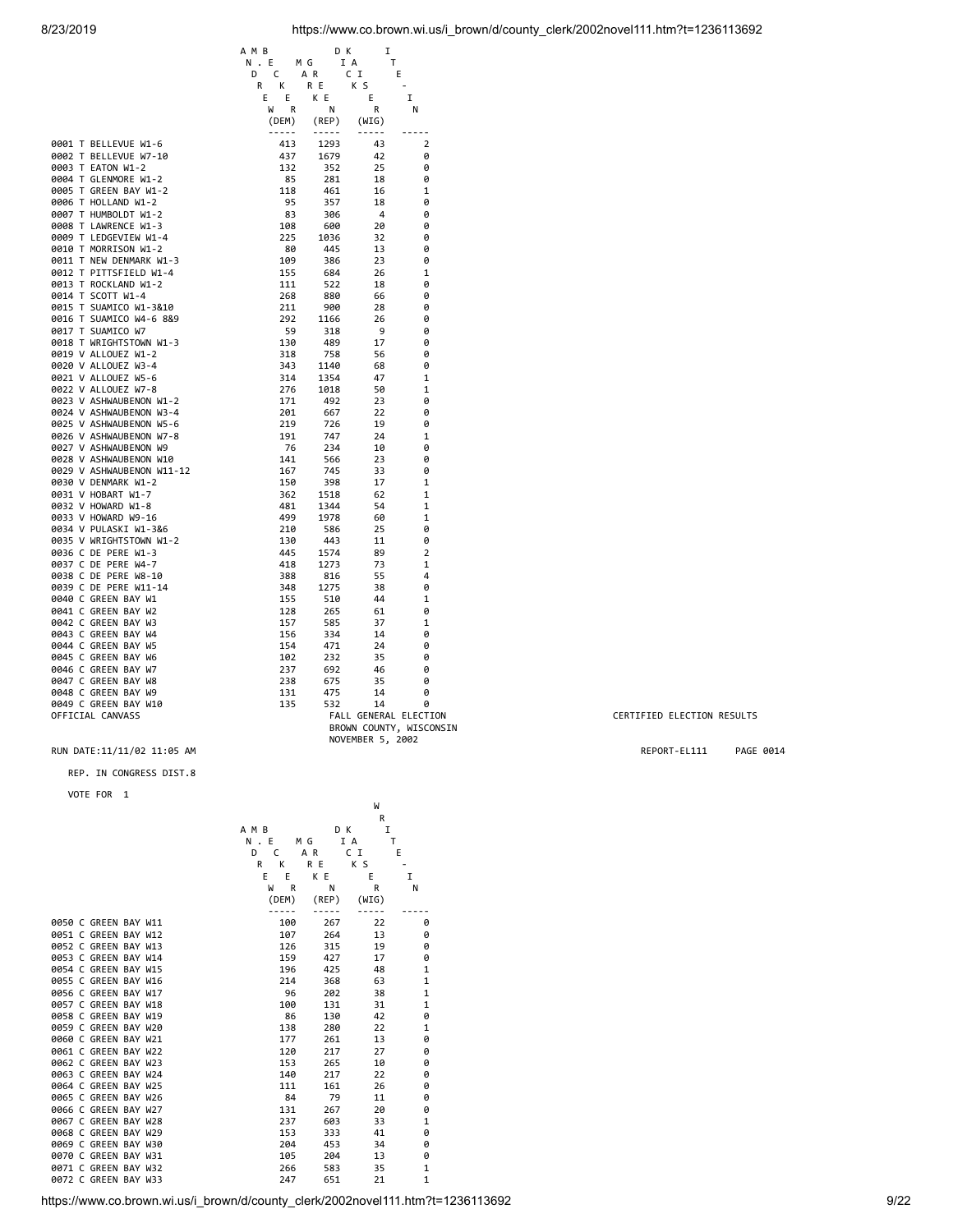|                           | A M B        | D K          | I                     |                         |
|---------------------------|--------------|--------------|-----------------------|-------------------------|
|                           | N.E          | I A<br>M G   | т                     |                         |
|                           | C<br>D       | A R          | CI<br>E               |                         |
|                           | К<br>R       | R E          | K S                   |                         |
|                           | E<br>Ε       | K E          | E                     | I                       |
|                           | R<br>W       | Ν            | R                     | N                       |
|                           | (DEM)        | (REP)        | (WIG)                 |                         |
|                           | <u>-----</u> | <u>-----</u> | $- - - - -$           | $- - - -$               |
| 0001 T BELLEVUE W1-6      | 413          | 1293         | 43                    | $\overline{2}$          |
| 0002 T BELLEVUE W7-10     | 437          | 1679         | 42                    | 0                       |
| 0003 T EATON W1-2         | 132          | 352          | 25                    | 0                       |
| 0004 T GLENMORE W1-2      | 85           | 281          | 18                    | 0                       |
| 0005 T GREEN BAY W1-2     | 118          | 461          | 16                    | 1                       |
| 0006 T HOLLAND W1-2       | 95           | 357          | 18                    | 0                       |
| 0007 T HUMBOLDT W1-2      | 83           | 306          | $\overline{4}$        | 0                       |
| 0008 T LAWRENCE W1-3      | 108          | 600          | 20                    | 0                       |
| 0009 T LEDGEVIEW W1-4     | 225          | 1036         | 32                    | 0                       |
| 0010 T MORRISON W1-2      | 80           | 445          | 13                    | 0                       |
| 0011 T NEW DENMARK W1-3   | 109          | 386          | 23                    | 0                       |
| 0012 T PITTSFIELD W1-4    | 155          | 684          | 26                    | 1                       |
| 0013 T ROCKLAND W1-2      | 111          | 522          | 18                    | 0                       |
| 0014 T SCOTT W1-4         | 268          | 880          | 66                    | 0                       |
| 0015 T SUAMICO W1-3&10    | 211          | 900          | 28                    | 0                       |
| 0016 T SUAMICO W4-6 8&9   | 292          | 1166         | 26                    | 0                       |
| 0017 T SUAMICO W7         | 59           | 318          | 9                     | 0                       |
| 0018 T WRIGHTSTOWN W1-3   | 130          | 489          | 17                    | 0                       |
| 0019 V ALLOUEZ W1-2       | 318          | 758          | 56                    | 0                       |
| 0020 V ALLOUEZ W3-4       | 343          | 1140         | 68                    | 0                       |
| 0021 V ALLOUEZ W5-6       | 314          | 1354         | 47                    | 1                       |
| 0022 V ALLOUEZ W7-8       | 276          | 1018         | 50                    | 1                       |
| 0023 V ASHWAUBENON W1-2   | 171          | 492          | 23                    | 0                       |
| 0024 V ASHWAUBENON W3-4   | 201          | 667          | 22                    | 0                       |
| 0025 V ASHWAUBENON W5-6   | 219          | 726          | 19                    | 0                       |
| 0026 V ASHWAUBENON W7-8   | 191          | 747          | 24                    | 1                       |
| 0027 V ASHWAUBENON W9     | 76           | 234          | 10                    | 0                       |
| 0028 V ASHWAUBENON W10    | 141          | 566          | 23                    | 0                       |
| 0029 V ASHWAUBENON W11-12 | 167          | 745          | 33                    | 0                       |
| 0030 V DENMARK W1-2       | 150          | 398          | 17                    | 1                       |
| 0031 V HOBART W1-7        | 362          | 1518         | 62                    | 1                       |
| 0032 V HOWARD W1-8        | 481          | 1344         | 54                    | 1                       |
| 0033 V HOWARD W9-16       | 499          | 1978         | 60                    | 1                       |
| 0034 V PULASKI W1-3&6     | 210          | 586          | 25                    | 0                       |
| 0035 V WRIGHTSTOWN W1-2   | 130          | 443          | 11                    | 0                       |
| 0036 C DE PERE W1-3       | 445          | 1574         | 89                    | 2                       |
| 0037 C DE PERE W4-7       | 418          | 1273         | 73                    | 1                       |
| 0038 C DE PERE W8-10      | 388          | 816          | 55                    | 4                       |
| 0039 C DE PERE W11-14     | 348          | 1275         | 38                    | 0                       |
| 0040 C GREEN BAY W1       | 155          | 510          | 44                    | 1                       |
| 0041 C GREEN BAY W2       | 128          | 265          | 61                    | 0                       |
| 0042 C GREEN BAY W3       | 157          | 585          | 37                    | 1                       |
| 0043 C GREEN BAY W4       | 156          | 334          | 14                    | 0                       |
| 0044 C GREEN BAY W5       | 154          | 471          | 24                    | 0                       |
| 0045 C GREEN BAY W6       | 102          | 232          | 35                    | 0                       |
| 0046 C GREEN BAY W7       | 237          | 692          | 46                    | 0                       |
| 0047 C GREEN BAY W8       | 238          | 675          | 35                    | 0                       |
| 0048 C GREEN BAY W9       | 131          | 475          | 14                    | 0                       |
| 0049 C GREEN BAY W10      | 135          | 532          | 14                    | 0                       |
| OFFICIAL CANVASS          |              |              | FALL GENERAL ELECTION |                         |
|                           |              |              |                       | BROWN COUNTY, WISCONSIN |
|                           |              |              | NOVEMBER 5, 2002      |                         |

#### RUN DATE:11/11/02 11:05 AM **REPORT-EL111** PAGE 0014

#### REP. IN CONGRESS DIST.8

VOTE FOR 1

|  |                      |  |        |     |       | W     |              |
|--|----------------------|--|--------|-----|-------|-------|--------------|
|  |                      |  |        |     |       | R     |              |
|  |                      |  | A M B  |     | D K   | I     |              |
|  |                      |  | N.E    | M G |       | I A   | т            |
|  |                      |  | D<br>C | AR  |       | C I   | E            |
|  |                      |  | R<br>К | R E |       | K S   |              |
|  |                      |  | E<br>E |     | K E   | E     | I            |
|  |                      |  | W      | R   | N     | R     | N            |
|  |                      |  | (DEM)  |     | (REP) | (WIG) |              |
|  | 0050 C GREEN BAY W11 |  | 100    |     | 267   | 22    | 0            |
|  | 0051 C GREEN BAY W12 |  |        | 107 | 264   | 13    | 0            |
|  | 0052 C GREEN BAY W13 |  | 126    |     | 315   | 19    | 0            |
|  | 0053 C GREEN BAY W14 |  |        | 159 | 427   | 17    | 0            |
|  | 0054 C GREEN BAY W15 |  | 196    |     | 425   | 48    | 1            |
|  | 0055 C GREEN BAY W16 |  | 214    |     | 368   | 63    | 1            |
|  | 0056 C GREEN BAY W17 |  |        | 96  | 202   | 38    | 1            |
|  | 0057 C GREEN BAY W18 |  | 100    |     | 131   | 31    | 1            |
|  | 0058 C GREEN BAY W19 |  |        | 86  | 130   | 42    | 0            |
|  | 0059 C GREEN BAY W20 |  | 138    |     | 280   | 22    | 1            |
|  | 0060 C GREEN BAY W21 |  | 177    |     | 261   | 13    | 0            |
|  | 0061 C GREEN BAY W22 |  | 120    |     | 217   | 27    | 0            |
|  | 0062 C GREEN BAY W23 |  |        | 153 | 265   | 10    | 0            |
|  | 0063 C GREEN BAY W24 |  | 140    |     | 217   | 22    | 0            |
|  | 0064 C GREEN BAY W25 |  | 111    |     | 161   | 26    | 0            |
|  | 0065 C GREEN BAY W26 |  |        | 84  | 79    | 11    | 0            |
|  | 0066 C GREEN BAY W27 |  | 131    |     | 267   | 20    | 0            |
|  | 0067 C GREEN BAY W28 |  | 237    |     | 603   | 33    | 1            |
|  | 0068 C GREEN BAY W29 |  | 153    |     | 333   | 41    | 0            |
|  | 0069 C GREEN BAY W30 |  | 204    |     | 453   | 34    | 0            |
|  | 0070 C GREEN BAY W31 |  |        | 105 | 204   | 13    | 0            |
|  | 0071 C GREEN BAY W32 |  |        | 266 | 583   | 35    | 1            |
|  | 0072 C GREEN BAY W33 |  |        | 247 | 651   | 21    | $\mathbf{1}$ |
|  |                      |  |        |     |       |       |              |

N<br>SINGLE GENERAL CERTIFIED ELECTION RESULTS<br>SINGLE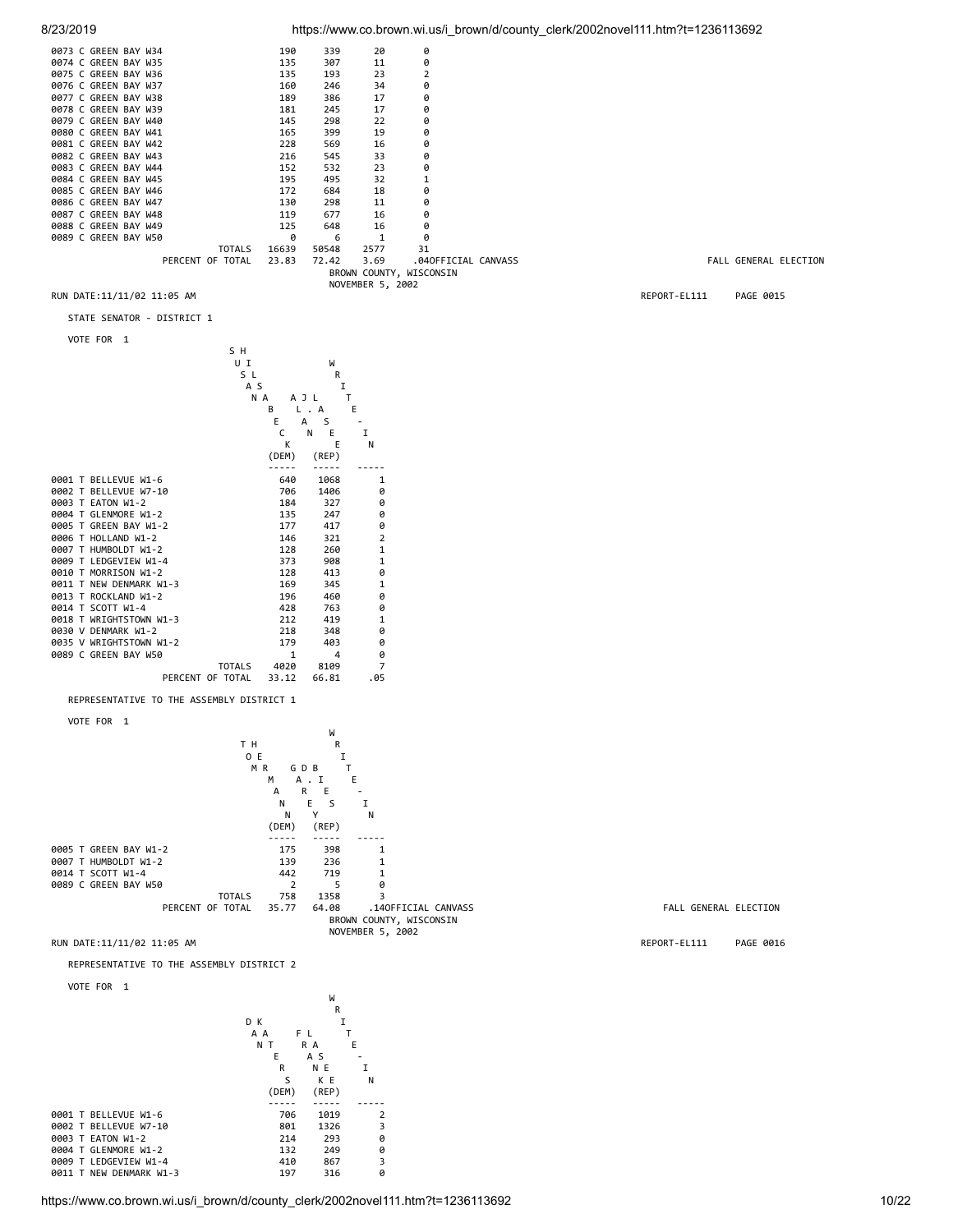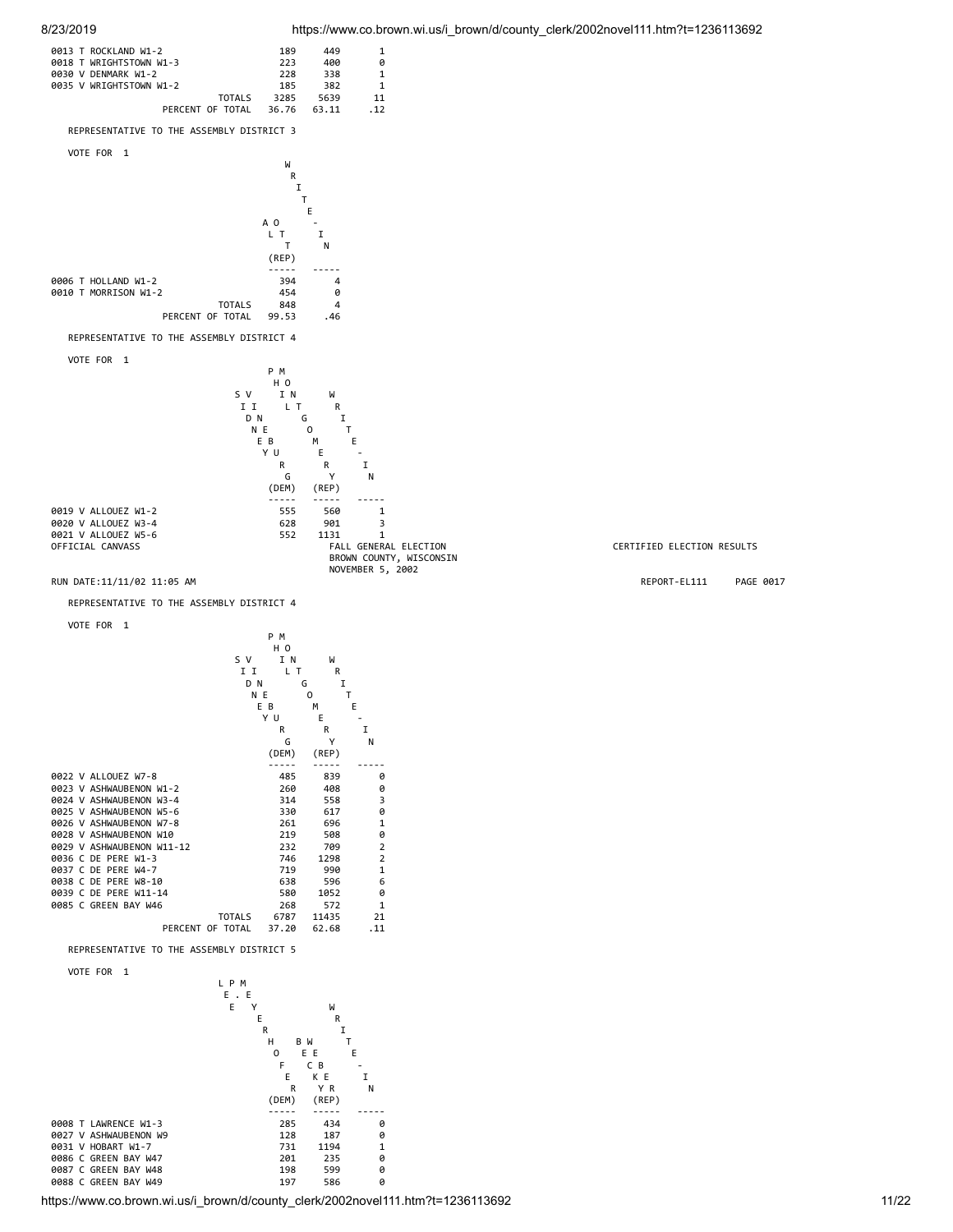CERTIFIED ELECTION RESULTS



VOTE FOR 1



https://www.co.brown.wi.us/i\_brown/d/county\_clerk/2002novel111.htm?t=1236113692 11/22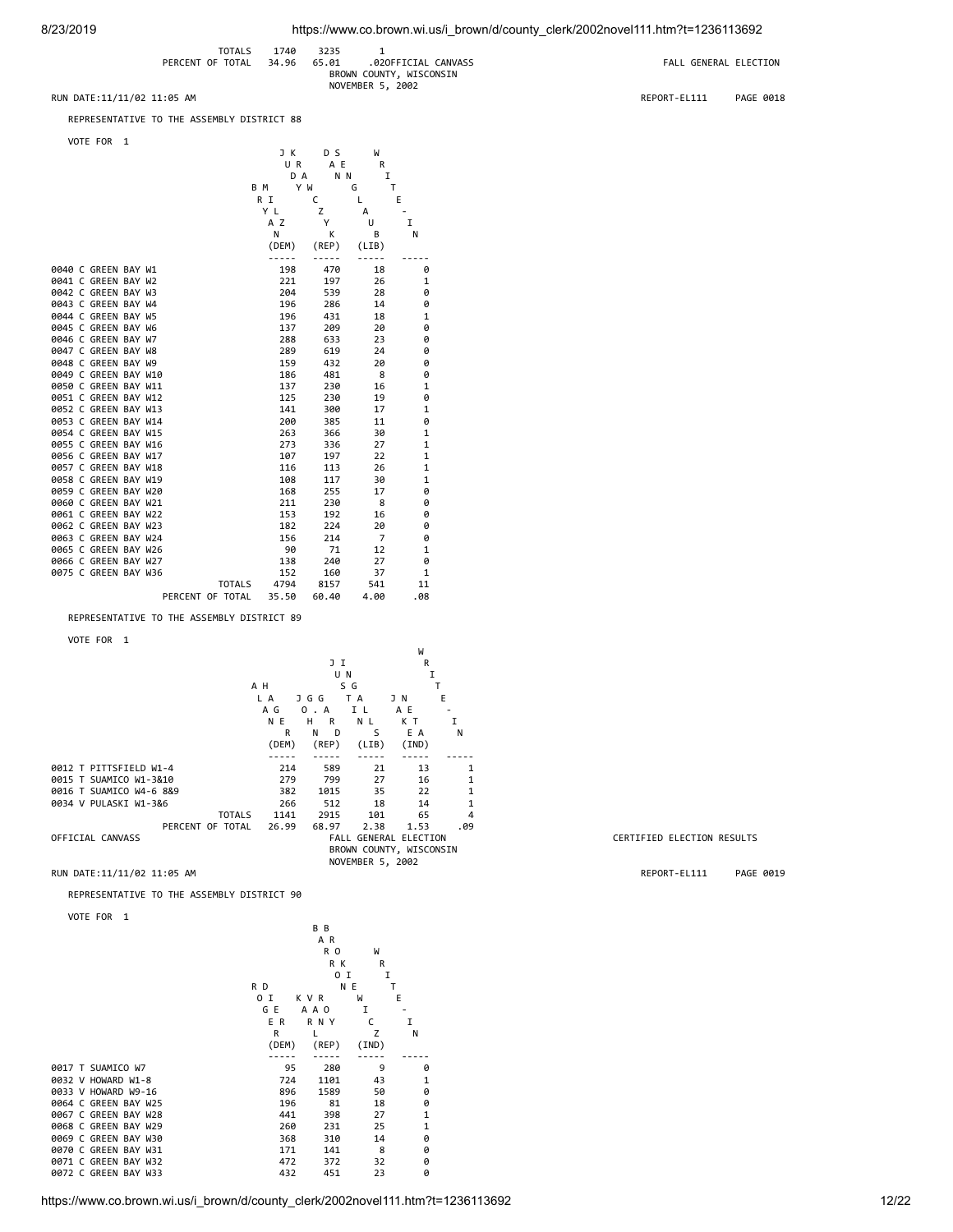|                            | <b>TOTALS</b>          | 1740 | 3235  |                         |                       |           |
|----------------------------|------------------------|------|-------|-------------------------|-----------------------|-----------|
|                            | PERCENT OF TOTAL 34.96 |      | 65.01 | .020FFICIAL CANVASS     | FALL GENERAL ELECTION |           |
|                            |                        |      |       | BROWN COUNTY, WISCONSIN |                       |           |
|                            |                        |      |       | NOVEMBER 5, 2002        |                       |           |
| RUN DATE:11/11/02 11:05 AM |                        |      |       |                         | REPORT-EL111          | PAGE 0018 |

REPRESENTATIVE TO THE ASSEMBLY DISTRICT 88

VOTE FOR 1

|  | VUIE FUN             | - 1 |                  |     |          |            |                |     |
|--|----------------------|-----|------------------|-----|----------|------------|----------------|-----|
|  |                      |     |                  |     | J K      | D S        | W              |     |
|  |                      |     |                  |     | UR       | A E        | R              |     |
|  |                      |     |                  |     | D A      | N N        | I              |     |
|  |                      |     |                  | B M | Y W      |            | G              | T   |
|  |                      |     |                  | R I |          | C          | L.             | E   |
|  |                      |     |                  | Y L |          | z          | А              |     |
|  |                      |     |                  |     | A Z<br>N | Y          | U              | I   |
|  |                      |     |                  |     | (DEM)    | К<br>(REP) | В              | N   |
|  |                      |     |                  |     | -----    | -----      | (LIB)          |     |
|  | 0040 C GREEN BAY W1  |     |                  |     | 198      | 470        | 18             | 0   |
|  | 0041 C GREEN BAY W2  |     |                  |     | 221      | 197        | 26             | 1   |
|  | 0042 C GREEN BAY W3  |     |                  |     | 204      | 539        | 28             | 0   |
|  | 0043 C GREEN BAY W4  |     |                  |     | 196      | 286        | 14             | 0   |
|  | 0044 C GREEN BAY W5  |     |                  |     | 196      | 431        | 18             | 1   |
|  | 0045 C GREEN BAY W6  |     |                  |     | 137      | 209        | 20             | 0   |
|  | 0046 C GREEN BAY W7  |     |                  |     | 288      | 633        | 23             | 0   |
|  | 0047 C GREEN BAY W8  |     |                  |     | 289      | 619        | 24             | 0   |
|  | 0048 C GREEN BAY W9  |     |                  |     | 159      | 432        | 20             | 0   |
|  | 0049 C GREEN BAY W10 |     |                  |     | 186      | 481        | 8              | 0   |
|  | 0050 C GREEN BAY W11 |     |                  |     | 137      | 230        | 16             | 1   |
|  | 0051 C GREEN BAY W12 |     |                  |     | 125      | 230        | 19             | 0   |
|  | 0052 C GREEN BAY W13 |     |                  |     | 141      | 300        | 17             | 1   |
|  | 0053 C GREEN BAY W14 |     |                  |     | 200      | 385        | 11             | 0   |
|  | 0054 C GREEN BAY W15 |     |                  |     | 263      | 366        | 30             | 1   |
|  | 0055 C GREEN BAY W16 |     |                  |     | 273      | 336        | 27             | 1   |
|  | 0056 C GREEN BAY W17 |     |                  |     | 107      | 197        | 22             | 1   |
|  | 0057 C GREEN BAY W18 |     |                  |     | 116      | 113        | 26             | 1   |
|  | 0058 C GREEN BAY W19 |     |                  |     | 108      | 117        | 30             | 1   |
|  | 0059 C GREEN BAY W20 |     |                  |     | 168      | 255        | 17             | 0   |
|  | 0060 C GREEN BAY W21 |     |                  |     | 211      | 230        | 8              | 0   |
|  | 0061 C GREEN BAY W22 |     |                  |     | 153      | 192        | 16             | 0   |
|  | 0062 C GREEN BAY W23 |     |                  |     | 182      | 224        | 20             | 0   |
|  | 0063 C GREEN BAY W24 |     |                  |     | 156      | 214        | $\overline{7}$ | 0   |
|  | 0065 C GREEN BAY W26 |     |                  |     | 90       | 71         | 12             | 1   |
|  | 0066 C GREEN BAY W27 |     |                  |     | 138      | 240        | 27             | 0   |
|  | 0075 C GREEN BAY W36 |     |                  |     | 152      | 160        | 37             | 1   |
|  |                      |     | <b>TOTALS</b>    |     | 4794     | 8157       | 541            | 11  |
|  |                      |     | PERCENT OF TOTAL |     | 35.50    | 60.40      | 4.00           | .08 |

REPRESENTATIVE TO THE ASSEMBLY DISTRICT 89

VOTE FOR 1

|                         |       |               |                  | W                            |              |
|-------------------------|-------|---------------|------------------|------------------------------|--------------|
|                         |       | JІ            |                  | R                            |              |
|                         |       | U N           |                  | I                            |              |
|                         | A H   |               | S G              |                              |              |
|                         | L A   | J G G         | T A              | JN                           | E            |
|                         | A G   | $\Omega$<br>A | ΙL               | A E                          |              |
|                         | N E   | н<br>R        | N L              | кт                           | I            |
|                         | R     | N<br>D        | S                | E A                          | N            |
|                         | (DEM) | (REP)         | (LIB)            | (IND)                        |              |
|                         |       |               |                  |                              |              |
| 0012 T PITTSFIELD W1-4  | 214   | 589           | 21               | 13                           | 1            |
| 0015 T SUAMICO W1-3&10  | 279   | 799           | 27               | 16                           | 1            |
| 0016 T SUAMICO W4-6 8&9 | 382   | 1015          | 35               | 22                           | $\mathbf{1}$ |
| 0034 V PULASKI W1-3&6   | 266   | 512           | 18               | 14                           | $\mathbf{1}$ |
| <b>TOTALS</b>           | 1141  | 2915          | 101              | 65                           | 4            |
| PERCENT OF TOTAL        | 26.99 | 68.97         | 2.38             | 1.53                         | .09          |
| OFFICIAL CANVASS        |       |               |                  | <b>FALL GENERAL ELECTION</b> |              |
|                         |       |               |                  | BROWN COUNTY, WISCONSIN      |              |
|                         |       |               | NOVEMBER 5, 2002 |                              |              |

REPRESENTATIVE TO THE ASSEMBLY DISTRICT 90

 VOTE FOR 1 B B

|                      |       | A R            |       |              |
|----------------------|-------|----------------|-------|--------------|
|                      |       | R <sub>0</sub> | W     |              |
|                      |       | R K            | R     |              |
|                      |       | 0 I            | I     |              |
|                      | R D   |                | N E   | т            |
|                      | 0 I   | K V R          | W     | E            |
|                      | G E   | A A O          | I     |              |
|                      | E R   | R N Y          | C     | I            |
|                      | R     | L              | Z     | N            |
|                      | (DEM) | (REP)          | (IND) |              |
|                      |       |                |       |              |
| 0017 T SUAMICO W7    | 95    | 280            | 9     | 0            |
| 0032 V HOWARD W1-8   | 724   | 1101           | 43    | 1            |
| 0033 V HOWARD W9-16  | 896   | 1589           | 50    | 0            |
| 0064 C GREEN BAY W25 | 196   | 81             | 18    | 0            |
| 0067 C GREEN BAY W28 | 441   | 398            | 27    | $\mathbf{1}$ |
| 0068 C GREEN BAY W29 | 260   | 231            | 25    | 1            |
| 0069 C GREEN BAY W30 | 368   | 310            | 14    | 0            |
| 0070 C GREEN BAY W31 | 171   | 141            | 8     | 0            |
| 0071 C GREEN BAY W32 | 472   | 372            | 32    | ø            |
| 0072 C GREEN BAY W33 | 432   | 451            | 23    | 0            |
|                      |       |                |       |              |

#### https://www.co.brown.wi.us/i\_brown/d/county\_clerk/2002novel111.htm?t=1236113692 12/22

CERTIFIED ELECTION RESULTS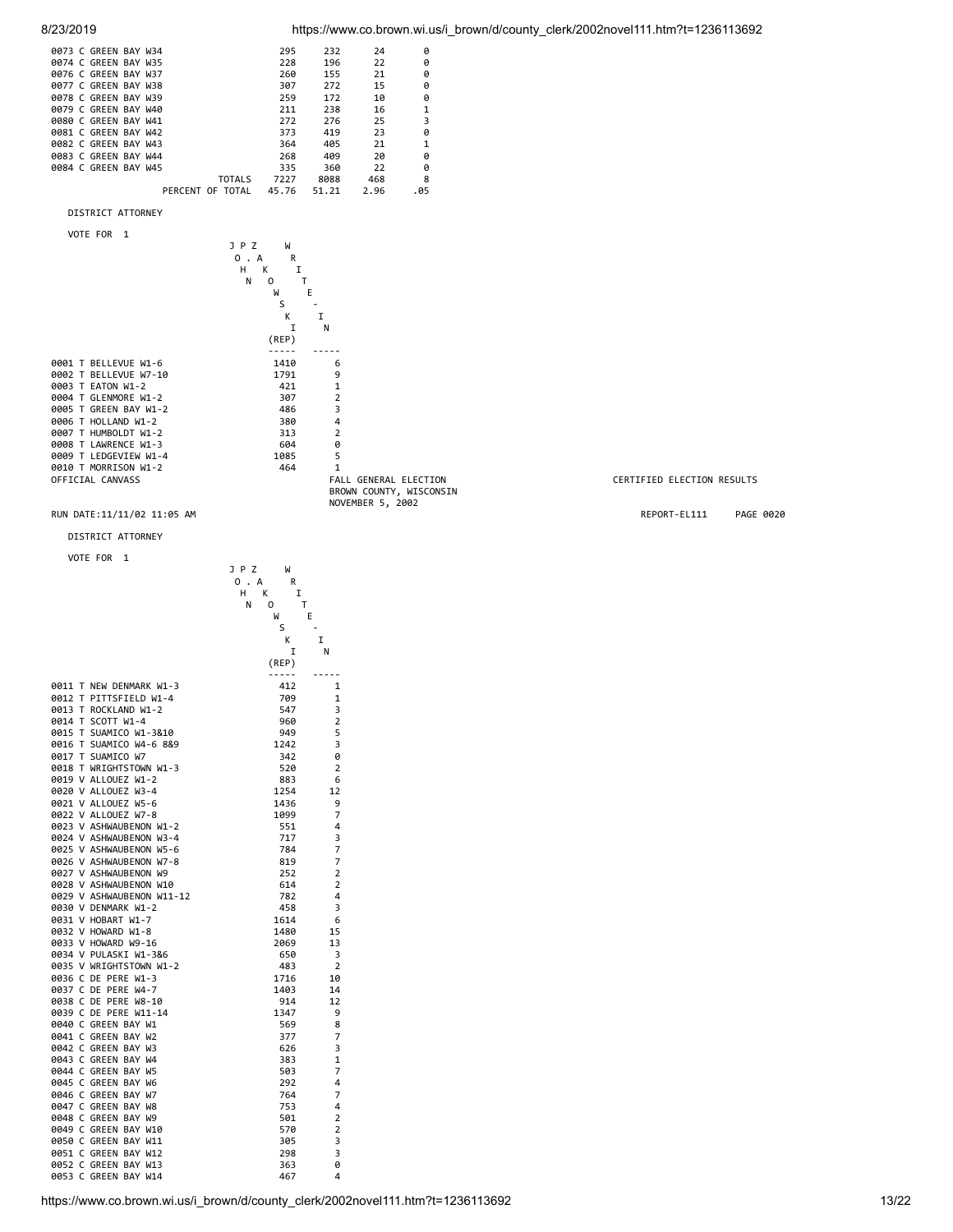

| 0073 C GREEN BAY W34 |                  | 295   | 232   | 24   | ø    |
|----------------------|------------------|-------|-------|------|------|
| 0074 C GREEN BAY W35 |                  | 228   | 196   | 22   | ø    |
| 0076 C GREEN BAY W37 |                  | 260   | 155   | 21   | ø    |
| 0077 C GREEN BAY W38 |                  | 307   | 272   | 15   | ø    |
| 0078 C GREEN BAY W39 |                  | 259   | 172   | 10   | ø    |
| 0079 C GREEN BAY W40 |                  | 211   | 238   | 16   | 1    |
| 0080 C GREEN BAY W41 |                  | 272   | 276   | 25   | 3    |
| 0081 C GREEN BAY W42 |                  | 373   | 419   | 23   | ø    |
| 0082 C GREEN BAY W43 |                  | 364   | 405   | 21   |      |
| 0083 C GREEN BAY W44 |                  | 268   | 409   | 20   | ø    |
| 0084 C GREEN BAY W45 |                  | 335   | 360   | 22   | ø    |
|                      | <b>TOTALS</b>    | 7227  | 8088  | 468  | 8    |
|                      | PERCENT OF TOTAL | 45.76 | 51.21 | 2.96 | . 05 |
|                      |                  |       |       |      |      |

DISTRICT ATTORNEY

VOTE FOR 1



#### RUN DATE:11/11/02 11:05 AM **REPORT-EL111** PAGE 0020

DISTRICT ATTORNEY

VOTE FOR 1

|           |                           | JPZ<br>W      |                |
|-----------|---------------------------|---------------|----------------|
|           |                           | . A<br>0<br>R |                |
|           |                           | н<br>K<br>I   |                |
|           |                           | 0<br>Т<br>N   |                |
|           |                           | M             | E              |
|           |                           | S             |                |
|           |                           | K             | I              |
|           |                           | I             | Ν              |
|           |                           | (REP)         |                |
|           |                           |               |                |
|           | 0011 T NEW DENMARK W1-3   | 412           | 1              |
|           | 0012 T PITTSFIELD W1-4    | 709           | 1              |
| 0013 T    | ROCKLAND W1-2             | 547           | 3              |
| 0014 T    | SCOTT W1-4                | 960           | $\overline{2}$ |
|           | 0015 T SUAMICO W1-3&10    | 949           | 5              |
|           | 0016 T SUAMICO W4-6 8&9   | 1242          | 3              |
|           | 0017 T SUAMICO W7         | 342           | 0              |
|           | 0018 T WRIGHTSTOWN W1-3   | 520           | $\overline{2}$ |
|           | 0019 V ALLOUEZ W1-2       | 883           | 6              |
|           | 0020 V ALLOUEZ W3-4       | 1254          | 12             |
|           | 0021 V ALLOUEZ W5-6       | 1436          | 9              |
|           | 0022 V ALLOUEZ W7-8       | 1099          | 7              |
|           | 0023 V ASHWAUBENON W1-2   | 551           | 4              |
|           | 0024 V ASHWAUBENON W3-4   | 717           | 3              |
|           | 0025 V ASHWAUBENON W5-6   | 784           | 7              |
|           | 0026 V ASHWAUBENON W7-8   | 819           | 7              |
|           | 0027 V ASHWAUBENON W9     |               | 2              |
|           | 0028 V ASHWAUBENON W10    | 252<br>614    | $\overline{2}$ |
|           | 0029 V ASHWAUBENON W11-12 | 782           | 4              |
|           | 0030 V DENMARK W1-2       | 458           | 3              |
|           | 0031 V HOBART W1-7        | 1614          | 6              |
|           | 0032 V HOWARD W1-8        |               |                |
|           | 0033 V HOWARD W9-16       | 1480<br>2069  | 15<br>13       |
|           | 0034 V PULASKI W1-3&6     |               | 3              |
|           | 0035 V WRIGHTSTOWN W1-2   | 650           | $\overline{2}$ |
|           |                           | 483           |                |
|           | 0036 C DE PERE W1-3       | 1716          | 10             |
|           | 0037 C DE PERE W4-7       | 1403          | 14             |
| 0038 C DE | <b>PERE W8-10</b>         | 914           | 12             |
| 0039 C    | DE PERE W11-14            | 1347          | 9              |
|           | 0040 C GREEN BAY W1       | 569           | 8              |
|           | 0041 C GREEN BAY W2       | 377           | 7              |
|           | 0042 C GREEN BAY W3       | 626           | 3              |
|           | 0043 C GREEN BAY W4       | 383           | 1              |
|           | 0044 C GREEN BAY W5       | 503           | 7              |
| 0045 C    | <b>GREEN BAY W6</b>       | 292           | 4              |
| 0046 C    | GREEN BAY W7              | 764           | 7              |
|           | 0047 C GREEN BAY W8       | 753           | 4              |
|           | 0048 C GREEN BAY W9       | 501           | $\overline{2}$ |
|           | 0049 C GREEN BAY W10      | 570           | $\overline{2}$ |
| 0050 C    | GREEN BAY W11             | 305           | 3              |
| 0051 C    | GREEN BAY W12             | 298           | 3              |
|           | 0052 C GREEN BAY W13      | 363           | 0              |
| 0053 C    | GREEN BAY W14             | 467           | 4              |

#### CERTIFIED ELECTION RESULTS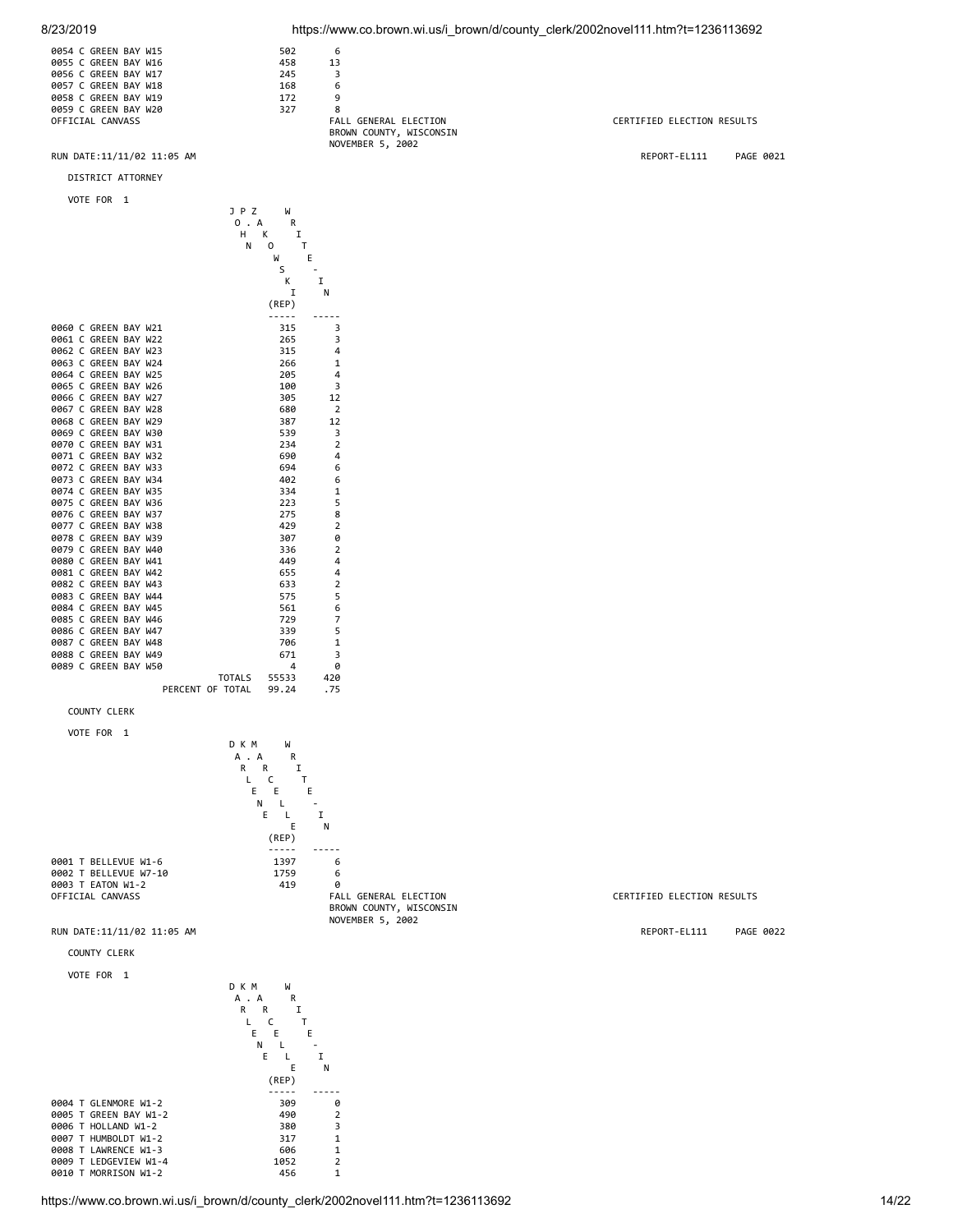8/23/2019 https://www.co.brown.wi.us/i\_brown/d/county\_clerk/2002novel111.htm?t=1236113692







https://www.co.brown.wi.us/i\_brown/d/county\_clerk/2002novel111.htm?t=1236113692

CERTIFIED ELECTION RESULTS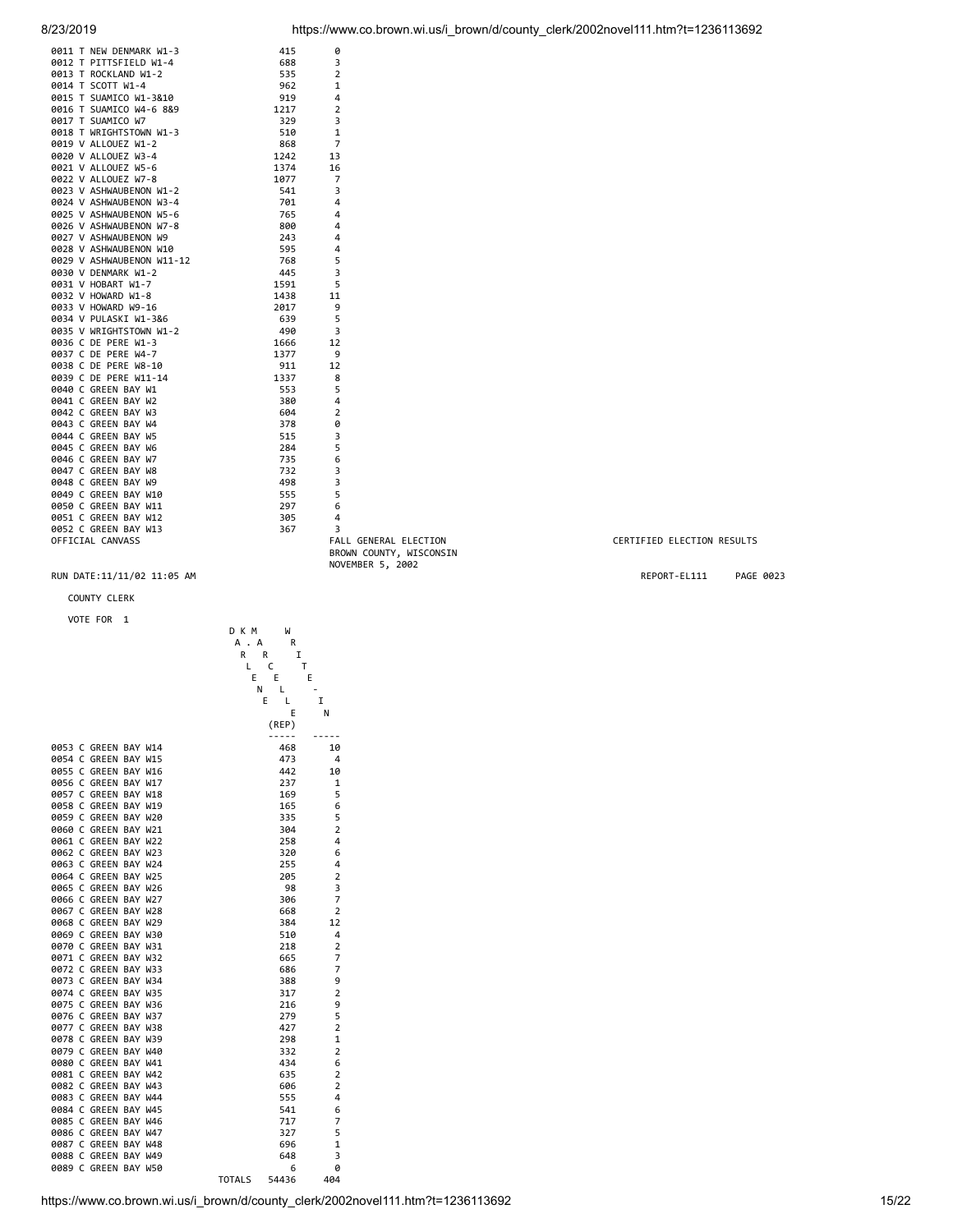| 0011 T NEW DENMARK W1-3                                         | 415  | 0                            |
|-----------------------------------------------------------------|------|------------------------------|
| 0012 T PITTSFIELD W1-4                                          | 688  | 3                            |
| 0013 T ROCKLAND W1-2                                            | 535  | $\overline{2}$               |
| 0014 T SCOTT W1-4                                               | 962  | 1                            |
| 0015 T SUAMICO W1-3&10                                          | 919  | 4                            |
| 0016 T SUAMICO W4-6 8&9                                         | 1217 | 2                            |
| 0017 T SUAMICO W7                                               | 329  | 3                            |
| 0018 T WRIGHTSTOWN W1-3                                         | 510  | 1                            |
| 0019 V ALLOUEZ W1-2                                             | 868  | $\overline{7}$               |
| 0020 V ALLOUEZ W3-4                                             | 1242 | 13                           |
| 0021 V ALLOUEZ W5-6                                             | 1374 | 16                           |
| 0022 V ALLOUEZ W7-8                                             | 1077 | 7                            |
| 0023 V ASHWAUBENON W1-2                                         | 541  | 3                            |
| 0024 V ASHWAUBENON W3-4                                         | 701  | 4                            |
| 0025 V ASHWAUBENON W5-6                                         | 765  | 4                            |
| 0026 V ASHWAUBENON W7-8                                         | 800  | 4                            |
| 0027 V ASHWAUBENON W9                                           | 243  | 4                            |
| 0028 V ASHWAUBENON W10                                          | 595  | 4                            |
| 0029 V ASHWAUBENON W11-12                                       | 768  | 5                            |
| 0030 V DENMARK W1-2                                             | 445  | 3                            |
| 0031 V HOBART W1-7                                              | 1591 | 5                            |
| 0032 V HOWARD W1-8                                              | 1438 | 11                           |
|                                                                 | 2017 | 9                            |
| 0034 V PULASKI WJ-16<br>0034 V PULASKI W1-3&6<br>0035 V PULASKI | 639  | 5                            |
| 0035 V WRIGHTSTOWN W1-2                                         | 490  | 3                            |
| 0036 C DE PERE W1-3                                             | 1666 | 12                           |
| 0037 C DE PERE W4-7                                             | 1377 | 9                            |
| 0038 C DE PERE W8-10                                            | 911  | 12                           |
| 0039 C DE PERE W11-14                                           | 1337 | 8                            |
| 0040 C GREEN BAY W1                                             | 553  | 5                            |
| 0041 C GREEN BAY W2                                             | 380  | 4                            |
| 0042 C GREEN BAY W3                                             | 604  | $\overline{2}$               |
| 0043 C GREEN BAY W4                                             | 378  | 0                            |
| 0044 C GREEN BAY W5                                             | 515  | 3                            |
| 0045 C GREEN BAY W6                                             | 284  | 5                            |
| 0046 C GREEN BAY W7                                             | 735  | 6                            |
| 0047 C GREEN BAY W8                                             | 732  | 3                            |
| 0048 C GREEN BAY W9                                             | 498  | 3                            |
| 0049 C GREEN BAY W10                                            | 555  | 5                            |
| 0050 C GREEN BAY W11                                            | 297  | 6                            |
| 0051 C GREEN BAY W12                                            | 305  | 4                            |
| 0052 C GREEN BAY W13                                            | 367  | 3                            |
| OFFICIAL CANVASS                                                |      | <b>FALL GENERAL ELECTION</b> |
|                                                                 |      | BROWN COUNTY, WISCONSIN      |
|                                                                 |      | NOVEMBER 5, 2002             |
|                                                                 |      |                              |

#### RUN DATE:11/11/02 11:05 AM **REPORT-EL111** PAGE 0023

#### COUNTY CLERK

VOTE FOR 1

|        |              | VOTE FOR             | 1 |            |               |            |                |
|--------|--------------|----------------------|---|------------|---------------|------------|----------------|
|        |              |                      |   |            | DКМ           | W          |                |
|        |              |                      |   |            | А<br>А        | R          |                |
|        |              |                      |   |            | R             | I<br>R     |                |
|        |              |                      |   |            | L             | C<br>Т     |                |
|        |              |                      |   |            | E             | E<br>Ε     |                |
|        |              |                      |   |            | Ν             | L          |                |
|        |              |                      |   |            |               | E<br>L     | I              |
|        |              |                      |   |            |               | E          | Ν              |
|        |              |                      |   |            |               | (REP)      |                |
|        |              |                      |   |            |               |            |                |
|        |              | 0053 C GREEN BAY W14 |   |            |               | 468        | 10             |
| 0054 C |              | GREEN BAY W15        |   |            |               | 473        | 4              |
| 0055 C |              | GREEN BAY W16        |   |            |               | 442        | 10             |
| 0056 C |              | GREEN BAY W17        |   |            |               | 237        | 1              |
|        |              | 0057 C GREEN BAY W18 |   |            |               | 169        | 5              |
| 0058 C |              | GREEN BAY W19        |   |            |               | 165        | 6              |
|        |              | 0059 C GREEN BAY W20 |   |            |               | 335        | 5              |
|        |              | 0060 C GREEN BAY W21 |   |            |               |            | 2              |
| 0061 C |              | GREEN BAY W22        |   |            |               | 304<br>258 | 4              |
|        |              | GREEN BAY W23        |   |            |               |            |                |
| 0062 C |              |                      |   |            |               | 320        | 6              |
| 0063 C |              | GREEN BAY W24        |   |            |               | 255        | 4              |
| 0064 C |              | GREEN BAY W25        |   |            |               | 205        | 2              |
| 0065 C |              | GREEN BAY W26        |   |            |               | 98         | 3              |
|        |              | 0066 C GREEN BAY W27 |   |            |               | 306        | 7              |
| 0067 C |              | GREEN BAY W28        |   |            |               | 668        | $\overline{2}$ |
|        |              | 0068 C GREEN BAY W29 |   |            |               | 384        | 12             |
|        |              | 0069 C GREEN BAY W30 |   |            |               | 510        | 4              |
|        |              | 0070 C GREEN BAY W31 |   |            |               | 218        | $\overline{2}$ |
| 0071 C |              | GREEN BAY W32        |   |            |               | 665        | 7              |
|        |              | 0072 C GREEN BAY W33 |   |            |               | 686        | 7              |
|        |              | 0073 C GREEN BAY W34 |   |            |               | 388        | 9              |
|        |              | 0074 C GREEN BAY W35 |   |            |               | 317        | $\overline{2}$ |
| 0075 C |              | <b>GREEN BAY W36</b> |   |            |               | 216        | 9              |
|        |              | 0076 C GREEN BAY W37 |   |            |               | 279        | 5              |
| 0077 C |              | <b>GREEN BAY W38</b> |   |            |               | 427        | $\overline{2}$ |
| 0078 C |              | <b>GREEN BAY W39</b> |   |            |               | 298        | 1              |
| 0079 C |              | GREEN BAY W40        |   |            |               | 332        | 2              |
| 0080 C |              | GREEN BAY W41        |   |            |               | 434        | 6              |
| 0081 C |              | GREEN BAY W42        |   |            |               | 635        | 2              |
| 0082 C |              | GREEN BAY W43        |   |            |               | 606        | $\overline{2}$ |
|        |              | 0083 C GREEN BAY W44 |   |            |               | 555        | 4              |
| 0084 C |              | GREEN BAY W45        |   |            |               | 541        | 6              |
|        |              | 0085 C GREEN BAY W46 |   |            |               | 717        | 7              |
| 0086 C |              | GREEN BAY W47        |   |            |               | 327        | 5              |
| 0087   | $\mathsf{C}$ | <b>GREEN BAY</b>     |   | <b>W48</b> |               | 696        | $\mathbf{1}$   |
| 0088 C |              | GREEN BAY W49        |   |            |               | 648        | 3              |
|        |              | 0089 C GREEN BAY W50 |   |            |               | 6          | 0              |
|        |              |                      |   |            | <b>TOTALS</b> | 54436      | 404            |

FALL GENERAL ELECTION **CERTIFIED ELECTION RESULTS**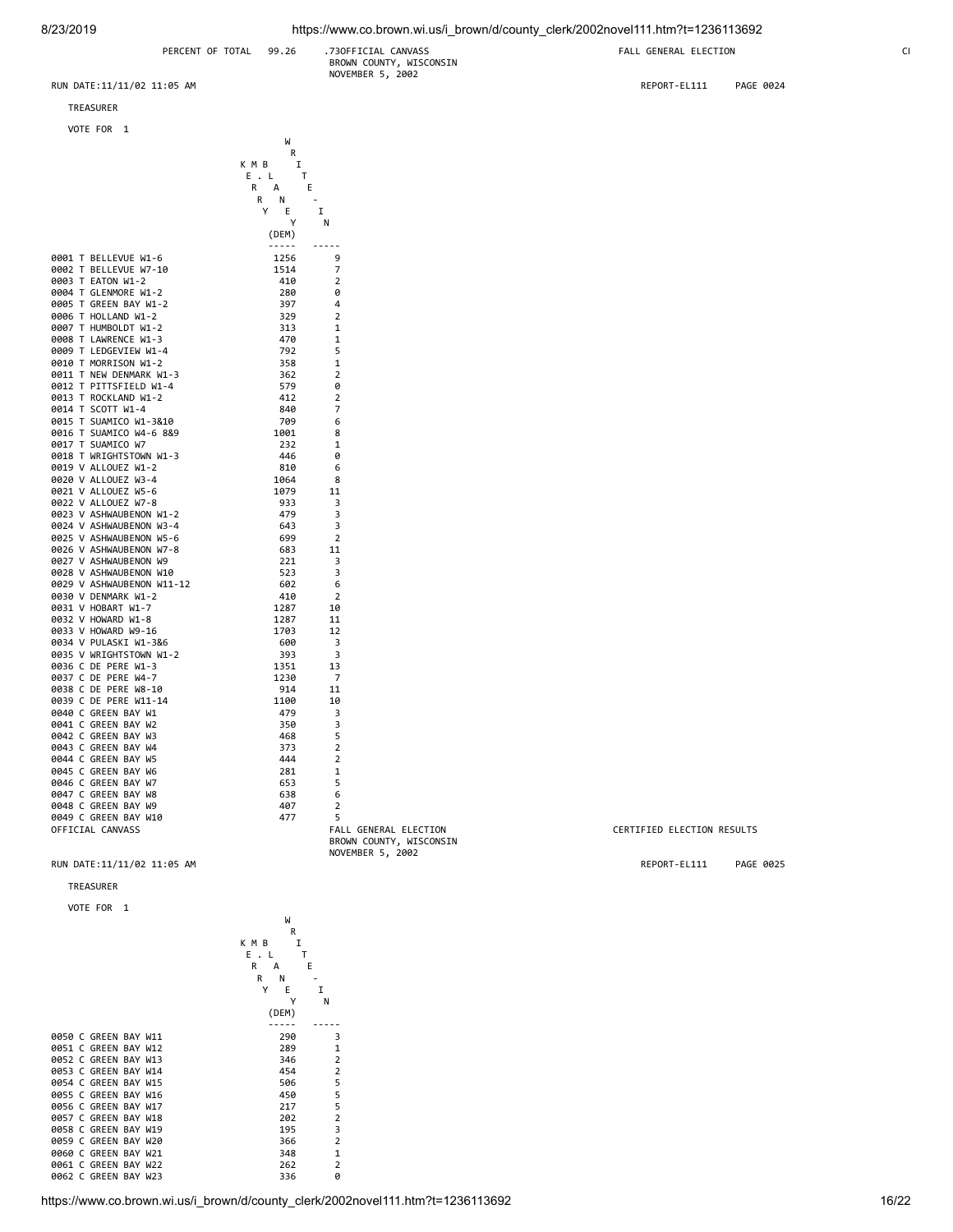## BROWN COUNTY, WISCONSIN NOVEMBER 5, 2002

TREASURER

|                |                              | <b>VOTE FOR</b><br>1                               | W                                                  |                     |
|----------------|------------------------------|----------------------------------------------------|----------------------------------------------------|---------------------|
|                |                              |                                                    | R<br>K M B<br>I                                    |                     |
|                |                              |                                                    | E<br>т<br>$\ddot{\phantom{a}}$<br>L<br>E<br>R<br>А |                     |
|                |                              |                                                    | R<br>Ν                                             |                     |
|                |                              |                                                    | Υ<br>E                                             | I                   |
|                |                              |                                                    | (DEM)                                              | Ν                   |
|                |                              |                                                    | -----                                              |                     |
| 0001           |                              | T BELLEVUE W1-6                                    | 1256                                               | 9                   |
| 0002           | т                            | BELLEVUE W7-10                                     | 1514                                               | 7                   |
| 0003           | Τ                            | EATON W1-2                                         | 410                                                | 2                   |
| 0004           | Т                            | GLENMORE W1-2                                      | 280                                                | 0                   |
| 0005<br>0006   | т<br>т                       | GREEN BAY W1-2<br>HOLLAND W1-2                     | 397<br>329                                         | 4<br>2              |
| 0007           | т                            | HUMBOLDT W1-2                                      | 313                                                | 1                   |
| 0008           | Т                            | LAWRENCE W1-3                                      | 470                                                | 1                   |
| 0009 T         |                              | LEDGEVIEW W1-4                                     | 792                                                | 5                   |
| 0010 T         |                              | MORRISON W1-2                                      | 358                                                | 1                   |
| 0011 T         |                              | NEW DENMARK W1-3                                   | 362                                                | $\overline{2}$      |
| 0012 T         |                              | PITTSFIELD W1-4                                    | 579                                                | 0                   |
| 0013           | $\mathsf{T}$                 | ROCKLAND W1-2                                      | 412                                                | $\overline{2}$<br>7 |
| 0014<br>0015   | $\mathsf{T}$<br>$\mathsf{T}$ | SCOTT W1-4<br>SUAMICO W1-3&10                      | 840<br>709                                         | 6                   |
| 0016           | т                            | SUAMICO W4-6 8&9                                   | 1001                                               | 8                   |
| 0017 T         |                              | SUAMICO W7                                         | 232                                                | $\mathbf{1}$        |
| 0018           | $\mathsf{T}$                 | WRIGHTSTOWN W1-3                                   | 446                                                | 0                   |
|                |                              | 0019 V ALLOUEZ W1-2                                | 810                                                | 6                   |
|                |                              | 0020 V ALLOUEZ W3-4                                | 1064                                               | 8                   |
|                |                              | 0021 V ALLOUEZ W5-6                                | 1079                                               | 11                  |
|                |                              | 0022 V ALLOUEZ W7-8                                | 933                                                | 3<br>3              |
|                |                              | 0023 V ASHWAUBENON W1-2<br>0024 V ASHWAUBENON W3-4 | 479<br>643                                         | 3                   |
|                |                              | 0025 V ASHWAUBENON W5-6                            | 699                                                | 2                   |
|                |                              | 0026 V ASHWAUBENON W7-8                            | 683                                                | 11                  |
|                |                              | 0027 V ASHWAUBENON W9                              | 221                                                | 3                   |
|                |                              | 0028 V ASHWAUBENON W10                             | 523                                                | 3                   |
|                |                              | 0029 V ASHWAUBENON W11-12                          | 602                                                | 6                   |
|                |                              | 0030 V DENMARK W1-2                                | 410                                                | $\overline{2}$      |
|                |                              | 0031 V HOBART W1-7<br>0032 V HOWARD W1-8           | 1287<br>1287                                       | 10<br>11            |
|                |                              | 0033 V HOWARD W9-16                                | 1703                                               | 12                  |
|                |                              | 0034 V PULASKI W1-3&6                              | 600                                                | 3                   |
| 0035           |                              | V WRIGHTSTOWN W1-2                                 | 393                                                | 3                   |
| 0036           | C                            | DE<br>PERE W1-3                                    | 1351                                               | 13                  |
| 0037           | C                            | DE<br>PERE<br>$W4 - 7$                             | 1230                                               | 7                   |
| 0038           | C                            | DE<br>PERE<br>W8-10                                | 914                                                | 11                  |
| 0039 C         |                              | DE PERE W11-14                                     | 1100                                               | 10                  |
| 0040 C<br>0041 | C                            | GREEN BAY W1<br>GREEN<br>BAY W2                    | 479<br>350                                         | 3<br>3              |
| 0042           | C                            | GREEN<br>BAY W3                                    | 468                                                | 5                   |
| 0043 C         |                              | GREEN BAY W4                                       | 373                                                | $\overline{2}$      |
| 0044 C         |                              | GREEN<br>BAY W5                                    | 444                                                | 2                   |
| 0045           | C                            | GREEN<br>BAY<br>W <sub>6</sub>                     | 281                                                | 1                   |
| 0046           | C                            | GREEN<br>BAY W7                                    | 653                                                | 5                   |
| 0047           | C                            | GREEN BAY W8                                       | 638                                                | 6                   |
| 0048           | C                            | GREEN BAY W9                                       | 407                                                | 2                   |

#### TREASURER

VOTE FOR 1

where the contract of the contract of the contract of the contract of the contract of the contract of the contract of the contract of the contract of the contract of the contract of the contract of the contract of the cont **R R R**  K M B I  $E$  . L T<br>R A R A E R N - Y E I Y N (DEM) ----- ----- 0050 C GREEN BAY W11 290 3<br>0051 C GREEN BAY W12 289 1 0051 C GREEN BAY W12 289 1<br>
0052 C GREEN BAY W13 246 2 0052 C GREEN BAY W13 346 2<br>19853 C GREEN BAY W14 3454 2 0053 C GREEN BAY W14 454 2<br>19054 C GREEN BAY W15 506 5 0054 C GREEN BAY W15 506 5 0055 C GREEN BAY W16 450 5 0056 C GREEN BAY W17 217 5<br>0057 C GREEN BAY W18 202 2 0057 C GREEN BAY W18 202 2<br>
0058 C GREEN BAY W19 202 2<br>
2058 C GREEN BAY W19 205 2 0058 C GREEN BAY W19 195 2<br>0058 C GREEN BAY W19 195 3<br>0059 C GREEN BAY W20 2 366 2 0059 C GREEN BAY W20 366 2<br>0060 C GREEN BAY W21 348 1 0060 C GREEN BAY W21 348 1<br>0061 C GREEN BAY W22 262 2 0061 C GREEN BAY W22 262 2 0001 C GREEN BAY W23

0048 C GREEN BAY W9 407 2<br>0049 C GREEN BAY W10 477 5

0049 C GREEN BAY W10 477 5

 BROWN COUNTY, WISCONSIN NOVEMBER 5, 2002

RUN DATE:11/11/02 11:05 AM REPORT-EL111 PAGE 0024

CERTIFIED ELECTION RESULTS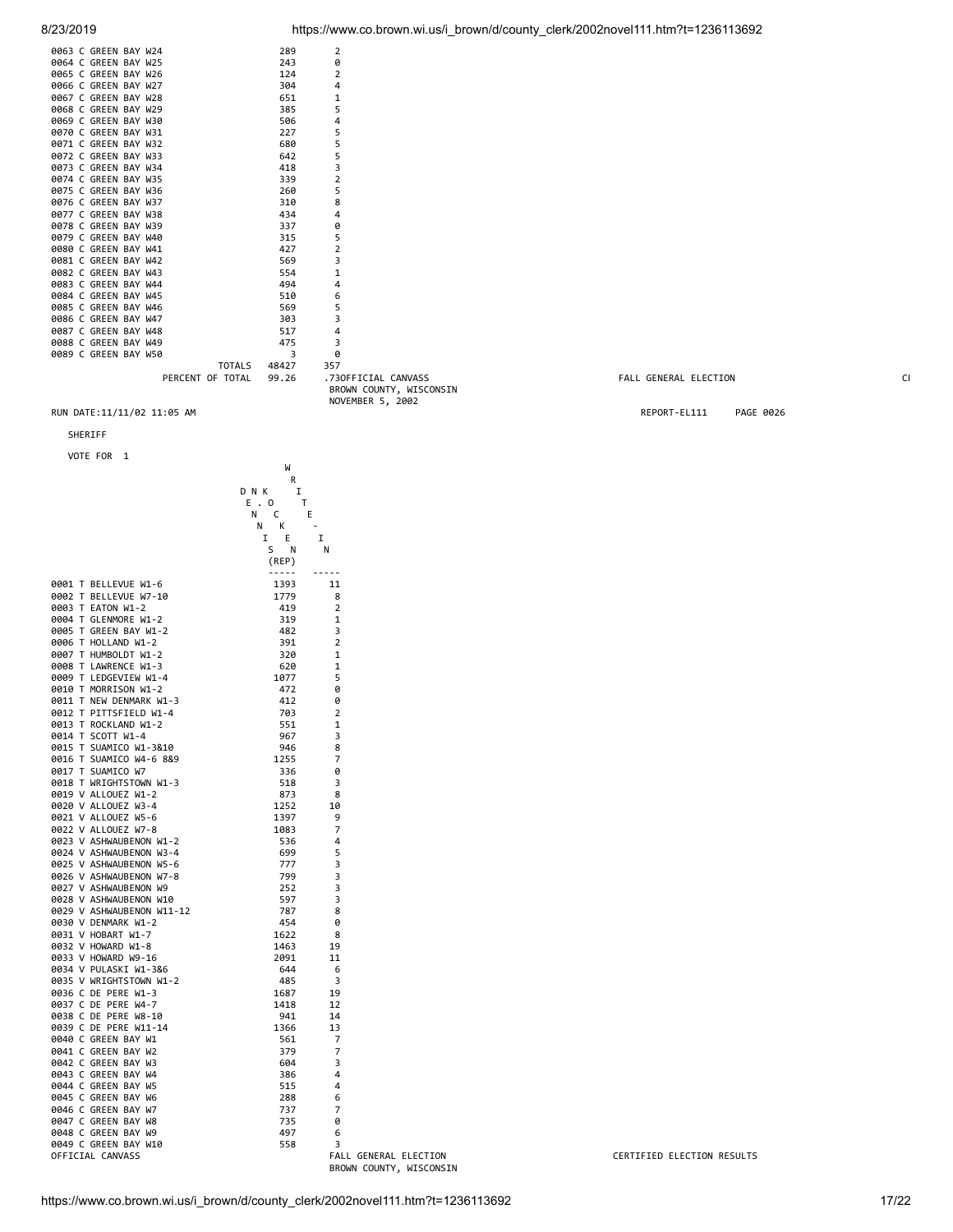|  | 0063 C GREEN BAY W24 |  | 289 | $\overline{2}$ |
|--|----------------------|--|-----|----------------|
|  | 0064 C GREEN BAY W25 |  | 243 | ø              |
|  | 0065 C GREEN BAY W26 |  | 124 | $\overline{2}$ |
|  | 0066 C GREEN BAY W27 |  | 304 | 4              |
|  | 0067 C GREEN BAY W28 |  | 651 | 1              |
|  | 0068 C GREEN BAY W29 |  | 385 | 5              |
|  | 0069 C GREEN BAY W30 |  | 506 | 4              |
|  | 0070 C GREEN BAY W31 |  | 227 | 5              |
|  | 0071 C GREEN BAY W32 |  | 680 | 5              |
|  | 0072 C GREEN BAY W33 |  | 642 | 5              |
|  | 0073 C GREEN BAY W34 |  | 418 | 3              |
|  | 0074 C GREEN BAY W35 |  | 339 | $\overline{2}$ |
|  | 0075 C GREEN BAY W36 |  | 260 | 5              |
|  | 0076 C GREEN BAY W37 |  | 310 | 8              |
|  | 0077 C GREEN BAY W38 |  | 434 | 4              |
|  | 0078 C GREEN BAY W39 |  | 337 | ø              |
|  | 0079 C GREEN BAY W40 |  | 315 | 5              |
|  | 0080 C GREEN BAY W41 |  | 427 | $\overline{2}$ |
|  | 0081 C GREEN BAY W42 |  | 569 | 3              |
|  | 0082 C GREEN BAY W43 |  | 554 | $\mathbf{1}$   |
|  | 0083 C GREEN BAY W44 |  | 494 | 4              |
|  | 0084 C GREEN BAY W45 |  | 510 | 6              |
|  | 0085 C GREEN BAY W46 |  | 569 | 5              |
|  | 0086 C GREEN BAY W47 |  | 303 | 3              |
|  | 0087 C GREEN BAY W48 |  | 517 | 4              |
|  | 0088 C GREEN BAY W49 |  | 475 | 3              |

0089 C GREEN BAY W50<br>0089 C GREEN BAY W50 70TALS 48427 357 TOTALS 48427 357 BROWN COUNTY, WISCONSIN NOVEMBER 5, 2002

#### RUN DATE:11/11/02 11:05 AM REPORT-EL111 PAGE 0026

SHERIFF

VOTE FOR 1

| VUIE FUR<br>ı                                          |             |                     |
|--------------------------------------------------------|-------------|---------------------|
|                                                        | W           |                     |
|                                                        | R           |                     |
|                                                        | D N K<br>I  |                     |
|                                                        | E. 0<br>Τ   |                     |
|                                                        | Ν<br>Ε<br>c |                     |
|                                                        | Ν<br>К      |                     |
|                                                        | I<br>Ε      | I                   |
|                                                        | S<br>N      | N                   |
|                                                        | (REP)       |                     |
|                                                        | -----       |                     |
| 0001 T BELLEVUE W1-6                                   | 1393        | 11                  |
| 0002 T<br>BELLEVUE W7-10                               | 1779        | 8                   |
| 0003 T<br>EATON W1-2                                   | 419         | $\overline{2}$      |
| 0004<br>T<br>GLENMORE W1-2                             | 319         | 1                   |
| 0005<br>$\mathsf{T}$<br>GREEN BAY W1-2                 | 482         | 3<br>$\overline{2}$ |
| 0006 T<br>HOLLAND W1-2                                 | 391         | $\mathbf{1}$        |
| 0007 T HUMBOLDT W1-2<br>T LAWRENCE W1-3                | 320         | $\mathbf{1}$        |
| 0008                                                   | 620         |                     |
| LEDGEVIEW W1-4<br>0009 T                               | 1077        | 5                   |
| 0010 T MORRISON W1-2                                   | 472         | 0                   |
| 0011 T<br>NEW DENMARK W1-3<br>0012 T PITTSFIELD W1-4   | 412<br>703  | 0<br>$\overline{2}$ |
| ROCKLAND W1-2                                          |             | $\mathbf 1$         |
| 0013 T                                                 | 551         | 3                   |
| 0014 T SCOTT W1-4<br>0015 T SUAMICO W1-3&10            | 967<br>946  | 8                   |
| 0016 T SUAMICO W4-6 8&9                                | 1255        | 7                   |
| 0017 T SUAMICO W7                                      | 336         | 0                   |
| 0018 T WRIGHTSTOWN W1-3                                | 518         | 3                   |
| 0019 V ALLOUEZ W1-2                                    | 873         | 8                   |
| 0020 V ALLOUEZ W3-4                                    | 1252        | 10                  |
| 0021 V ALLOUEZ W5-6                                    | 1397        | 9                   |
| 0022 V ALLOUEZ W7-8                                    | 1083        | 7                   |
| 0023 V ASHWAUBENON W1-2                                | 536         | 4                   |
| 0024 V ASHWAUBENON W3-4                                | 699         | 5                   |
| 0025 V ASHWAUBENON W5-6                                | 777         | 3                   |
| 0026 V ASHWAUBENON W7-8                                | 799         | 3                   |
| 0027 V ASHWAUBENON W9                                  | 252         | 3                   |
| 0028 V ASHWAUBENON W10                                 | 597         | 3                   |
| 0029 V ASHWAUBENON W11-12                              | 787         | 8                   |
| 0030 V DENMARK W1-2                                    | 454         | 0                   |
| 0031 V HOBART W1-7                                     | 1622        | 8                   |
| 0032 V HOWARD W1-8                                     | 1463        | 19                  |
| 0033 V HOWARD W9-16                                    | 2091        | 11                  |
| 0034 V PULASKI W1-3&6                                  | 644         | 6                   |
| 0035 V WRIGHTSTOWN W1-2                                | 485         | 3                   |
| 0036 C DE PERE W1-3                                    | 1687        | 19                  |
| 0037 C DE PERE W4-7                                    | 1418        | 12                  |
| 0038 C<br><b>PERE W8-10</b><br>DE                      | 941         | 14<br>13            |
| 0039 C DE PERE W11-14<br>0040 C<br><b>GREEN BAY W1</b> | 1366<br>561 | 7                   |
| 0041 C GREEN BAY W2                                    | 379         | 7                   |
| 0042 C<br>GREEN BAY W3                                 | 604         | 3                   |
| 0043 C GREEN BAY W4                                    | 386         | 4                   |
| 0044 C GREEN BAY W5                                    | 515         | 4                   |
| 0045 C GREEN BAY W6                                    | 288         | 6                   |
| 0046 C<br>GREEN BAY W7                                 | 737         | 7                   |
| 0047 C GREEN BAY W8                                    | 735         | 0                   |
| 0048 C<br>GREEN BAY W9                                 | 497         | 6                   |
| 0049 C GREEN BAY W10                                   | 558         | 3                   |
| OFFICIAL CANVASS                                       |             | FAL                 |

8/23/2019 https://www.co.brown.wi.us/i\_brown/d/county\_clerk/2002novel111.htm?t=1236113692

PALL GENERAL ELECTION CH

OFFICIAL CANVASS FALL GENERAL ELECTION CERTIFIED ELECTION RESULTS BROWN COUNTY, WISCONSIN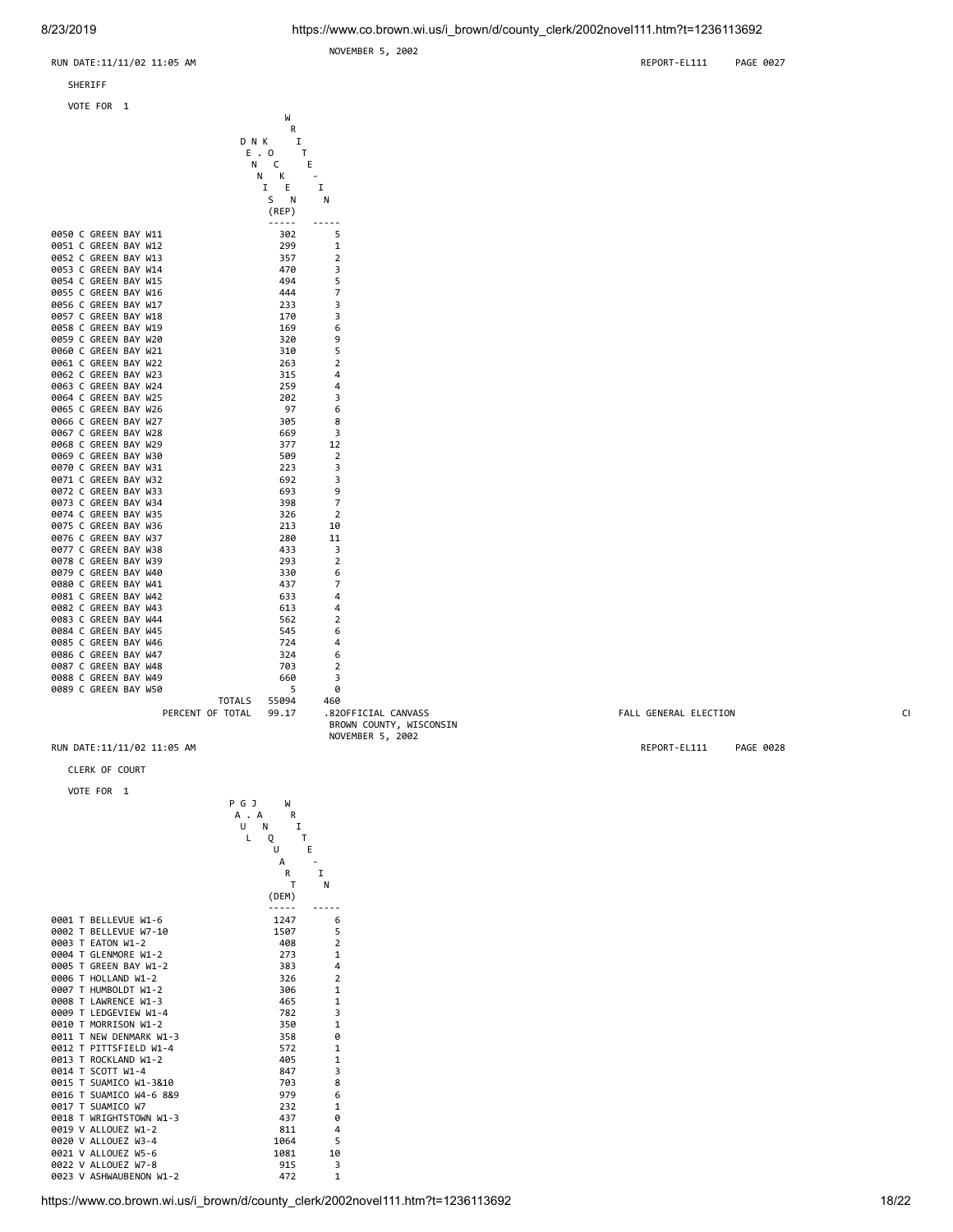NOVEMBER 5, 2002



#### SHERIFF

VOTE FOR 1



PERCENT OF TOTAL 99.17 .82 OFFICIAL CANVASS FALL GENERAL ELECTION CE BROWN COUNTY, WISCONSIN NOVEMBER 5, 2002

RUN DATE:11/11/02 11:05 AM REPORT-EL111 PAGE 0028

#### CLERK OF COURT VOTE FOR 1

|  |                         | А. | R<br>А |                |
|--|-------------------------|----|--------|----------------|
|  |                         | U  | Ν      | I              |
|  |                         | L  | Q      | T              |
|  |                         |    | U      | E              |
|  |                         |    | А      |                |
|  |                         |    | R      | I              |
|  |                         |    | т      | N              |
|  |                         |    | (DEM)  |                |
|  |                         |    |        |                |
|  | 0001 T BELLEVUE W1-6    |    | 1247   | 6              |
|  | 0002 T BELLEVUE W7-10   |    | 1507   | 5              |
|  | 0003 T EATON W1-2       |    | 408    | $\overline{2}$ |
|  | 0004 T GLENMORE W1-2    |    | 273    | 1              |
|  | 0005 T GREEN BAY W1-2   |    | 383    | 4              |
|  | 0006 T HOLLAND W1-2     |    | 326    | $\overline{2}$ |
|  | 0007 T HUMBOLDT W1-2    |    | 306    | 1              |
|  | 0008 T LAWRENCE W1-3    |    | 465    | $\mathbf{1}$   |
|  | 0009 T LEDGEVIEW W1-4   |    | 782    | 3              |
|  | 0010 T MORRISON W1-2    |    | 350    | 1              |
|  | 0011 T NEW DENMARK W1-3 |    | 358    | ø              |
|  | 0012 T PITTSFIELD W1-4  |    | 572    | 1              |
|  | 0013 T ROCKLAND W1-2    |    | 405    | 1              |
|  | 0014 T SCOTT W1-4       |    | 847    | 3              |
|  | 0015 T SUAMICO W1-3&10  |    | 703    | 8              |
|  | 0016 T SUAMICO W4-6 8&9 |    | 979    | 6              |
|  | 0017 T SUAMICO W7       |    | 232    | $\mathbf{1}$   |
|  | 0018 T WRIGHTSTOWN W1-3 |    | 437    | 0              |
|  | 0019 V ALLOUEZ W1-2     |    | 811    | 4              |
|  | 0020 V ALLOUEZ W3-4     |    | 1064   | 5              |
|  | 0021 V ALLOUEZ W5-6     |    | 1081   | 10             |
|  | 0022 V ALLOUEZ W7-8     |    | 915    | 3              |
|  | 0023 V ASHWAUBENON W1-2 |    | 472    | $\mathbf{1}$   |

P G J W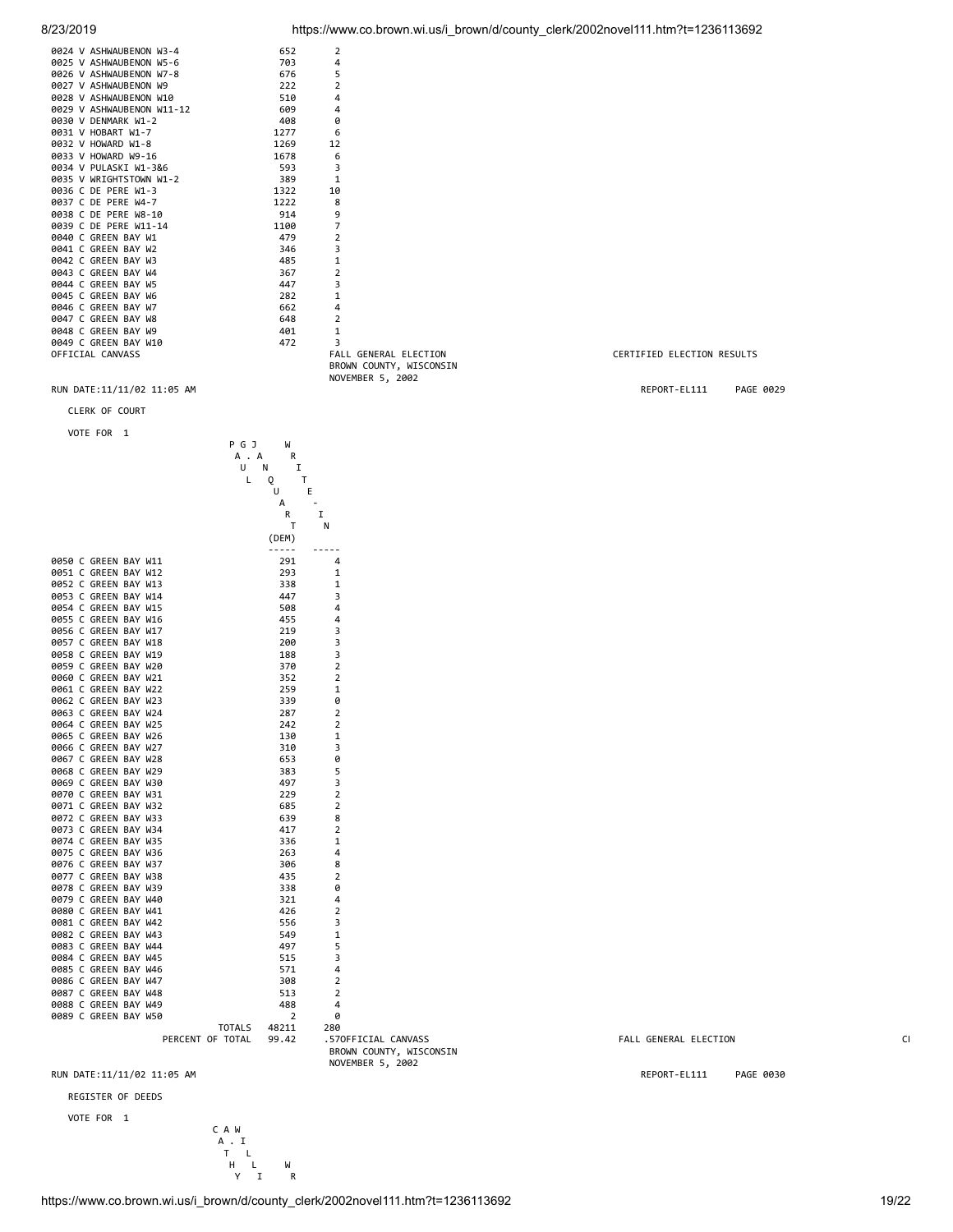|  | 0024 V ASHWAUBENON W3-4   | 652  | 2              |
|--|---------------------------|------|----------------|
|  | 0025 V ASHWAUBENON W5-6   | 703  | 4              |
|  | 0026 V ASHWAUBENON W7-8   | 676  | 5              |
|  | 0027 V ASHWAUBENON W9     | 222  | 2              |
|  | 0028 V ASHWAUBENON W10    | 510  | 4              |
|  | 0029 V ASHWAUBENON W11-12 | 609  | 4              |
|  | 0030 V DENMARK W1-2       | 408  | ø              |
|  | 0031 V HOBART W1-7        | 1277 | 6              |
|  | 0032 V HOWARD W1-8        | 1269 | 12             |
|  | 0033 V HOWARD W9-16       | 1678 | 6              |
|  | 0034 V PULASKI W1-3&6     | 593  | 3              |
|  | 0035 V WRIGHTSTOWN W1-2   | 389  | $\mathbf{1}$   |
|  | 0036 C DE PERE W1-3       | 1322 | 10             |
|  | 0037 C DE PERE W4-7       | 1222 | 8              |
|  | 0038 C DE PERE W8-10      | 914  | 9              |
|  | 0039 C DE PERE W11-14     | 1100 | 7              |
|  | 0040 C GREEN BAY W1       | 479  | 2              |
|  | 0041 C GREEN BAY W2       | 346  | 3              |
|  | 0042 C GREEN BAY W3       | 485  | 1              |
|  | 0043 C GREEN BAY W4       | 367  | 2              |
|  | 0044 C GREEN BAY W5       | 447  | 3              |
|  | 0045 C GREEN BAY W6       | 282  | $\mathbf{1}$   |
|  | 0046 C GREEN BAY W7       | 662  | 4              |
|  | 0047 C GREEN BAY W8       | 648  | $\overline{2}$ |
|  | 0048 C GREEN BAY W9       | 401  | 1              |
|  | 0049 C GREEN BAY W10      | 472  | 3              |
|  | OFFICIAL CANVASS          |      | FAL            |
|  |                           |      | <b>BRO</b>     |
|  |                           |      |                |

CLERK OF COURT



8/23/2019 https://www.co.brown.wi.us/i\_brown/d/county\_clerk/2002novel111.htm?t=1236113692

FALL GENERAL ELECTION **FALL GENERAL ELECTION**  BROWN COUNTY, WISCONSIN NOVEMBER 5, 2002 RUN DATE:11/11/02 11:05 AM REPORT-EL111 PAGE 0029

PALL GENERAL ELECTION CE

RUN DATE:11/11/02 11:05 AM REPORT-EL111 PAGE 0030

REGISTER OF DEEDS

VOTE FOR 1

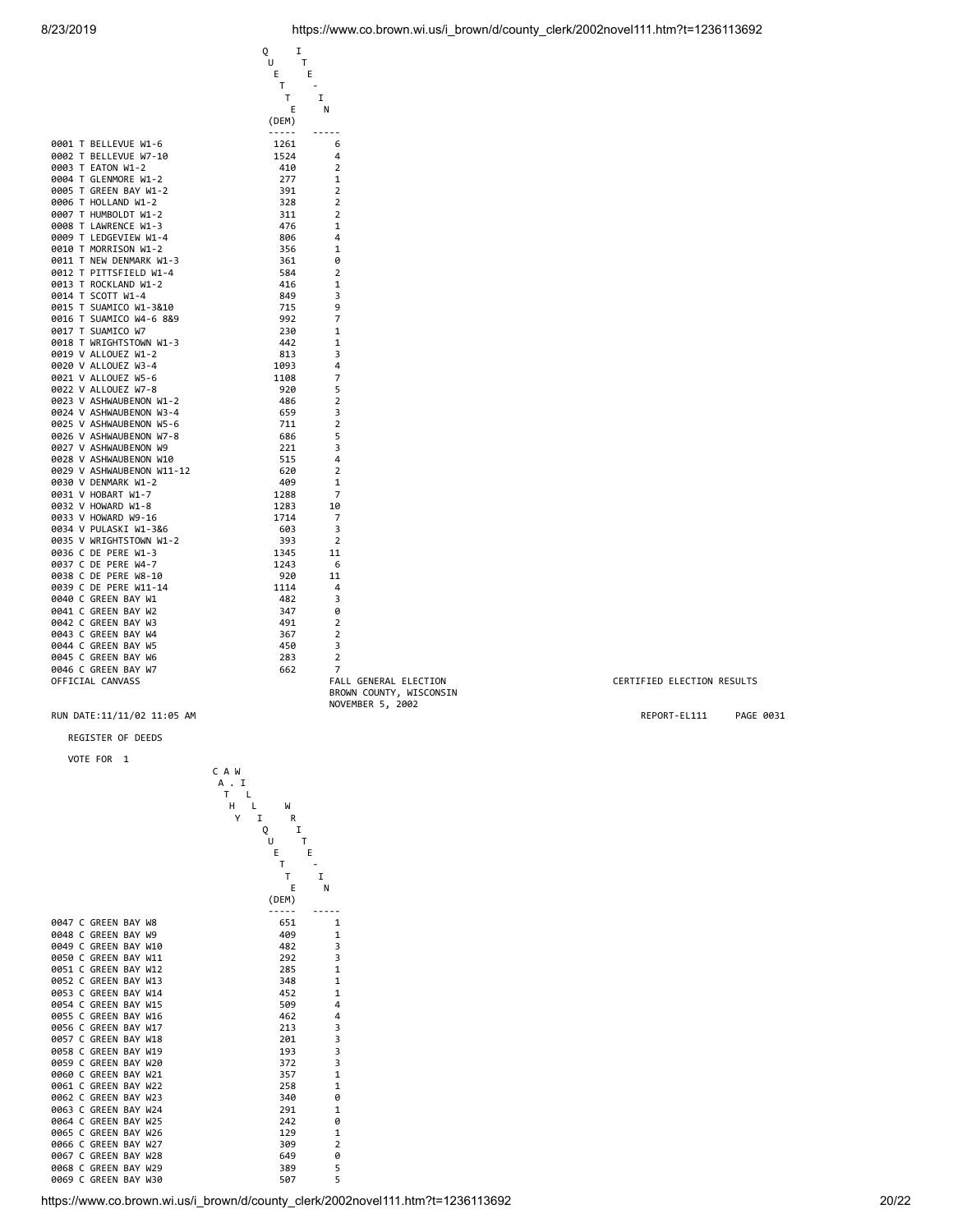|                           | Q<br>I      |                       |
|---------------------------|-------------|-----------------------|
|                           | Т<br>U      |                       |
|                           | E<br>Е      |                       |
|                           | Т           |                       |
|                           | Τ           | I                     |
|                           | Ε           | N                     |
|                           | (DEM)       |                       |
|                           | $- - - - -$ | -----                 |
| 0001 T BELLEVUE W1-6      | 1261        | 6                     |
| 0002 T BELLEVUE W7-10     | 1524        | 4                     |
| 0003 T EATON W1-2         | 410         | 2                     |
| 0004 T GLENMORE W1-2      | 277         | 1                     |
| 0005 T GREEN BAY W1-2     | 391         | $\overline{2}$        |
| 0006 T HOLLAND W1-2       | 328         | 2                     |
| 0007 T HUMBOLDT W1-2      | 311         | 2                     |
| 0008 T LAWRENCE W1-3      | 476         | 1                     |
| 0009 T LEDGEVIEW W1-4     | 806         | 4                     |
| 0010 T MORRISON W1-2      | 356         | 1                     |
| 0011 T NEW DENMARK W1-3   | 361         | 0                     |
| 0012 T PITTSFIELD W1-4    | 584         | 2                     |
| 0013 T ROCKLAND W1-2      | 416         | 1                     |
| 0014 T SCOTT W1-4         | 849         | 3                     |
|                           |             | 9                     |
| 0015 T SUAMICO W1-3&10    | 715<br>992  | 7                     |
| 0016 T SUAMICO W4-6 8&9   |             |                       |
| 0017 T SUAMICO W7         | 230         | 1                     |
| 0018 T WRIGHTSTOWN W1-3   | 442         | 1                     |
| 0019 V ALLOUEZ W1-2       | 813         | 3                     |
| 0020 V ALLOUEZ W3-4       | 1093        | 4                     |
| 0021 V ALLOUEZ W5-6       | 1108        | 7                     |
| 0022 V ALLOUEZ W7-8       | 920         | 5                     |
| 0023 V ASHWAUBENON W1-2   | 486         | 2                     |
| 0024 V ASHWAUBENON W3-4   | 659         | 3                     |
| 0025 V ASHWAUBENON W5-6   | 711         | 2                     |
| 0026 V ASHWAUBENON W7-8   | 686         | 5                     |
| 0027 V ASHWAUBENON W9     | 221         | 3                     |
| 0028 V ASHWAUBENON W10    | 515         | 4                     |
| 0029 V ASHWAUBENON W11-12 | 620         | 2                     |
| 0030 V DENMARK W1-2       | 409         | 1                     |
| 0031 V HOBART W1-7        | 1288        | 7                     |
| 0032 V HOWARD W1-8        | 1283        | 10                    |
| 0033 V HOWARD W9-16       | 1714        | 7                     |
| 0034 V PULASKI W1-3&6     | 603         | 3                     |
| 0035 V WRIGHTSTOWN W1-2   | 393         | $\overline{2}$        |
| 0036 C DE PERE W1-3       | 1345        | 11                    |
| 0037 C DE PERE W4-7       | 1243        | 6                     |
| 0038 C DE PERE W8-10      | 920         | 11                    |
|                           |             |                       |
| 0039 C DE PERE W11-14     | 1114        | 4                     |
| 0040 C GREEN BAY W1       | 482         | 3                     |
| 0041 C GREEN BAY W2       | 347         | 0                     |
| 0042 C GREEN BAY W3       | 491         | $\overline{2}$        |
| 0043 C GREEN BAY W4       | 367         | 2                     |
| 0044 C GREEN BAY W5       | 450         | 3                     |
| 0045 C GREEN BAY W6       | 283         | 2                     |
| 0046 C GREEN BAY W7       | 662         | 7                     |
| OFFICIAL CANVASS          |             | FALL GENERAL ELECTION |

BROWN COUNTY, WISCONSIN NOVEMBER 5, 2002

### REGISTER OF DEEDS

VOTE FOR 1

|  |                                              |  | CAW                         |            |             |
|--|----------------------------------------------|--|-----------------------------|------------|-------------|
|  |                                              |  | A . I                       |            |             |
|  |                                              |  | $\mathsf{T}$<br>L<br>H<br>L | W          |             |
|  |                                              |  | Υ<br>I                      | R          |             |
|  |                                              |  | Q                           | I          |             |
|  |                                              |  |                             | Τ<br>U     |             |
|  |                                              |  |                             | E          | E           |
|  |                                              |  |                             | Τ          |             |
|  |                                              |  |                             | т          | I           |
|  |                                              |  |                             | E          | N           |
|  |                                              |  |                             | (DEM)      |             |
|  |                                              |  |                             |            |             |
|  | 0047 C GREEN BAY W8                          |  |                             | 651        | 1           |
|  | 0048 C GREEN BAY W9                          |  |                             | 409        | 1           |
|  | 0049 C GREEN BAY W10                         |  |                             | 482        | 3           |
|  | 0050 C GREEN BAY W11                         |  |                             | 292        | 3           |
|  | 0051 C GREEN BAY W12                         |  |                             | 285        | $\mathbf 1$ |
|  | 0052 C GREEN BAY W13                         |  |                             | 348        | 1           |
|  | 0053 C GREEN BAY W14                         |  |                             | 452        | 1           |
|  | 0054 C GREEN BAY W15<br>0055 C GREEN BAY W16 |  |                             | 509<br>462 | 4           |
|  | 0056 C GREEN BAY W17                         |  |                             | 213        | 4           |
|  | 0057 C GREEN BAY W18                         |  |                             | 201        | 3<br>3      |
|  | 0058 C GREEN BAY W19                         |  |                             | 193        | 3           |
|  | 0059 C GREEN BAY W20                         |  |                             | 372        | 3           |
|  | 0060 C GREEN BAY W21                         |  |                             | 357        | 1           |
|  | 0061 C GREEN BAY W22                         |  |                             | 258        | 1           |
|  | 0062 C GREEN BAY W23                         |  |                             | 340        | 0           |
|  | 0063 C GREEN BAY W24                         |  |                             | 291        | 1           |
|  | 0064 C GREEN BAY W25                         |  |                             | 242        | 0           |
|  | 0065 C GREEN BAY W26                         |  |                             | 129        | 1           |
|  | 0066 C GREEN BAY W27                         |  |                             | 309        | 2           |
|  | 0067 C GREEN BAY W28                         |  |                             | 649        | 0           |
|  | 0068 C GREEN BAY W29                         |  |                             | 389        | 5           |
|  | 0069 C GREEN BAY W30                         |  |                             | 507        | 5           |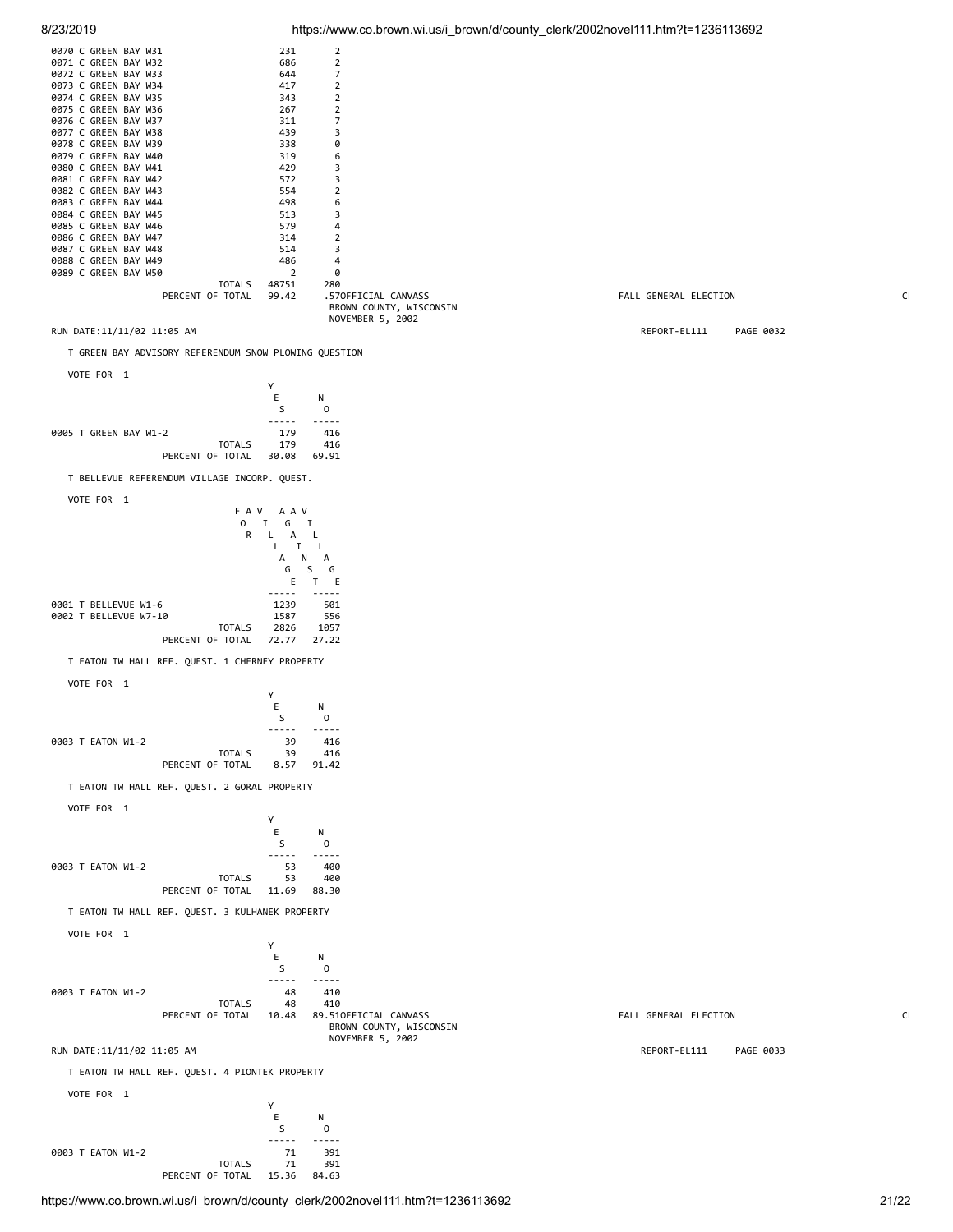